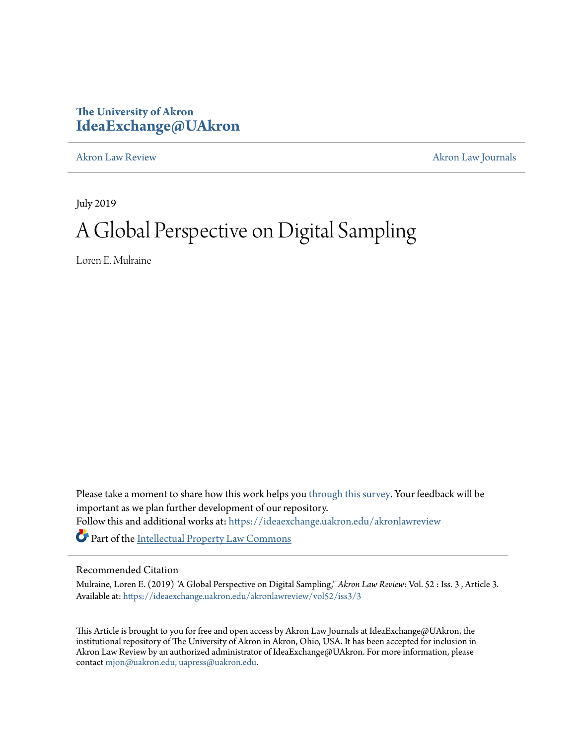# **The University of Akron [IdeaExchange@UAkron](https://ideaexchange.uakron.edu?utm_source=ideaexchange.uakron.edu%2Fakronlawreview%2Fvol52%2Fiss3%2F3&utm_medium=PDF&utm_campaign=PDFCoverPages)**

[Akron Law Review](https://ideaexchange.uakron.edu/akronlawreview?utm_source=ideaexchange.uakron.edu%2Fakronlawreview%2Fvol52%2Fiss3%2F3&utm_medium=PDF&utm_campaign=PDFCoverPages) [Akron Law Journals](https://ideaexchange.uakron.edu/akronlawjournals?utm_source=ideaexchange.uakron.edu%2Fakronlawreview%2Fvol52%2Fiss3%2F3&utm_medium=PDF&utm_campaign=PDFCoverPages)

July 2019

# A Global Perspective on Digital Sampling

Loren E. Mulraine

Please take a moment to share how this work helps you [through this survey.](http://survey.az1.qualtrics.com/SE/?SID=SV_eEVH54oiCbOw05f&URL=https://ideaexchange.uakron.edu/akronlawreview/vol52/iss3/3) Your feedback will be important as we plan further development of our repository. Follow this and additional works at: [https://ideaexchange.uakron.edu/akronlawreview](https://ideaexchange.uakron.edu/akronlawreview?utm_source=ideaexchange.uakron.edu%2Fakronlawreview%2Fvol52%2Fiss3%2F3&utm_medium=PDF&utm_campaign=PDFCoverPages) Part of the [Intellectual Property Law Commons](http://network.bepress.com/hgg/discipline/896?utm_source=ideaexchange.uakron.edu%2Fakronlawreview%2Fvol52%2Fiss3%2F3&utm_medium=PDF&utm_campaign=PDFCoverPages)

### Recommended Citation

Mulraine, Loren E. (2019) "A Global Perspective on Digital Sampling," *Akron Law Review*: Vol. 52 : Iss. 3 , Article 3. Available at: [https://ideaexchange.uakron.edu/akronlawreview/vol52/iss3/3](https://ideaexchange.uakron.edu/akronlawreview/vol52/iss3/3?utm_source=ideaexchange.uakron.edu%2Fakronlawreview%2Fvol52%2Fiss3%2F3&utm_medium=PDF&utm_campaign=PDFCoverPages)

This Article is brought to you for free and open access by Akron Law Journals at IdeaExchange@UAkron, the institutional repository of The University of Akron in Akron, Ohio, USA. It has been accepted for inclusion in Akron Law Review by an authorized administrator of IdeaExchange@UAkron. For more information, please contact [mjon@uakron.edu, uapress@uakron.edu.](mailto:mjon@uakron.edu,%20uapress@uakron.edu)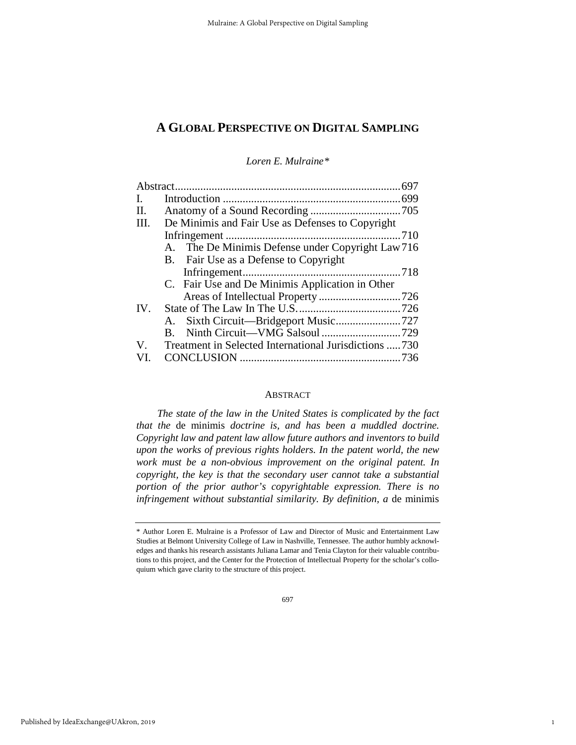*Loren E. Mulraine[\\*](#page-1-0)*

| $\mathbf{I}$ . |                                                           |  |
|----------------|-----------------------------------------------------------|--|
| II.            |                                                           |  |
| III.           | De Minimis and Fair Use as Defenses to Copyright          |  |
|                |                                                           |  |
|                | A. The De Minimis Defense under Copyright Law 716         |  |
|                | B. Fair Use as a Defense to Copyright                     |  |
|                |                                                           |  |
|                | C. Fair Use and De Minimis Application in Other           |  |
|                |                                                           |  |
| IV.            |                                                           |  |
|                |                                                           |  |
|                |                                                           |  |
|                | V. Treatment in Selected International Jurisdictions  730 |  |
| VI.            |                                                           |  |
|                |                                                           |  |

#### ABSTRACT

*The state of the law in the United States is complicated by the fact that the* de minimis *doctrine is, and has been a muddled doctrine. Copyright law and patent law allow future authors and inventors to build upon the works of previous rights holders. In the patent world, the new work must be a non-obvious improvement on the original patent. In copyright, the key is that the secondary user cannot take a substantial portion of the prior author's copyrightable expression. There is no infringement without substantial similarity. By definition, a* de minimis

1

<span id="page-1-0"></span><sup>\*</sup> Author Loren E. Mulraine is a Professor of Law and Director of Music and Entertainment Law Studies at Belmont University College of Law in Nashville, Tennessee. The author humbly acknowledges and thanks his research assistants Juliana Lamar and Tenia Clayton for their valuable contributions to this project, and the Center for the Protection of Intellectual Property for the scholar's colloquium which gave clarity to the structure of this project.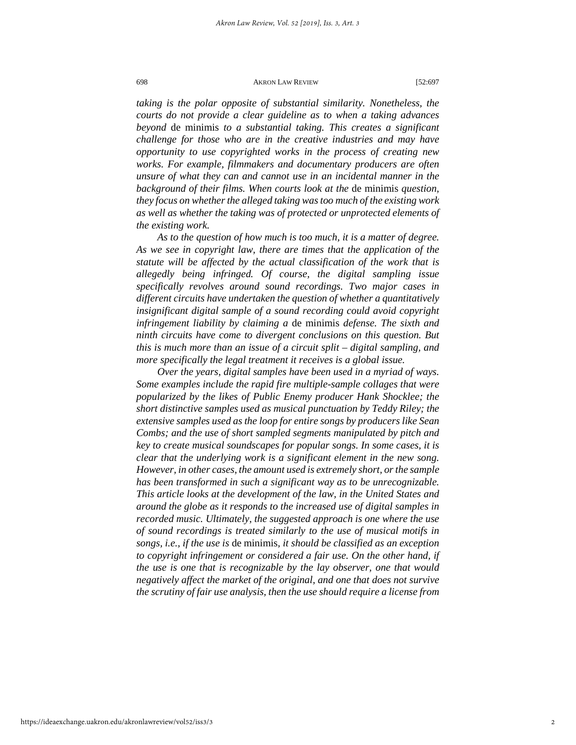*taking is the polar opposite of substantial similarity. Nonetheless, the courts do not provide a clear guideline as to when a taking advances beyond* de minimis *to a substantial taking. This creates a significant challenge for those who are in the creative industries and may have opportunity to use copyrighted works in the process of creating new works. For example, filmmakers and documentary producers are often unsure of what they can and cannot use in an incidental manner in the background of their films. When courts look at the* de minimis *question, they focus on whether the alleged taking was too much of the existing work as well as whether the taking was of protected or unprotected elements of the existing work.* 

*As to the question of how much is too much, it is a matter of degree. As we see in copyright law, there are times that the application of the statute will be affected by the actual classification of the work that is allegedly being infringed. Of course, the digital sampling issue specifically revolves around sound recordings. Two major cases in different circuits have undertaken the question of whether a quantitatively insignificant digital sample of a sound recording could avoid copyright infringement liability by claiming a* de minimis *defense. The sixth and ninth circuits have come to divergent conclusions on this question. But this is much more than an issue of a circuit split – digital sampling, and more specifically the legal treatment it receives is a global issue.*

*Over the years, digital samples have been used in a myriad of ways. Some examples include the rapid fire multiple-sample collages that were popularized by the likes of Public Enemy producer Hank Shocklee; the short distinctive samples used as musical punctuation by Teddy Riley; the extensive samples used as the loop for entire songs by producers like Sean Combs; and the use of short sampled segments manipulated by pitch and key to create musical soundscapes for popular songs. In some cases, it is clear that the underlying work is a significant element in the new song. However, in other cases, the amount used is extremely short, or the sample has been transformed in such a significant way as to be unrecognizable. This article looks at the development of the law, in the United States and around the globe as it responds to the increased use of digital samples in recorded music. Ultimately, the suggested approach is one where the use of sound recordings is treated similarly to the use of musical motifs in songs, i.e., if the use is* de minimis*, it should be classified as an exception to copyright infringement or considered a fair use. On the other hand, if the use is one that is recognizable by the lay observer, one that would negatively affect the market of the original, and one that does not survive the scrutiny of fair use analysis, then the use should require a license from*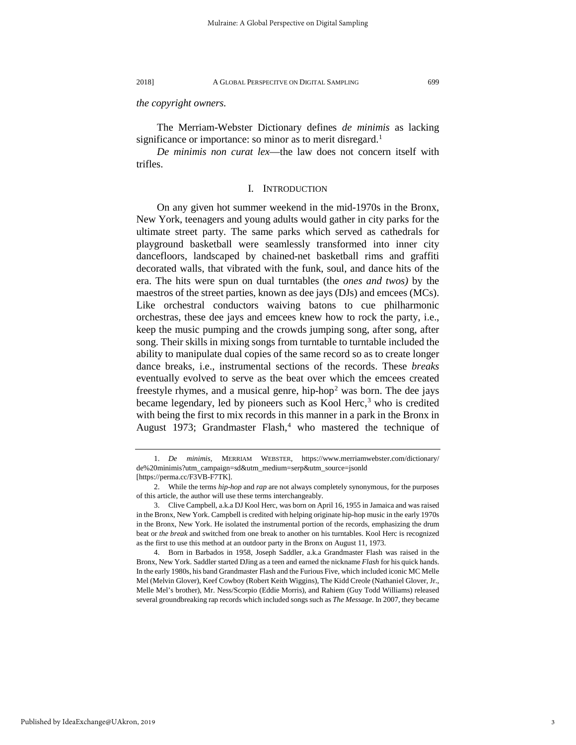*the copyright owners.* 

The Merriam-Webster Dictionary defines *de minimis* as lacking significance or importance: so minor as to merit disregard.<sup>[1](#page-3-0)</sup>

*De minimis non curat lex*—the law does not concern itself with trifles.

#### I. INTRODUCTION

On any given hot summer weekend in the mid-1970s in the Bronx, New York, teenagers and young adults would gather in city parks for the ultimate street party. The same parks which served as cathedrals for playground basketball were seamlessly transformed into inner city dancefloors, landscaped by chained-net basketball rims and graffiti decorated walls, that vibrated with the funk, soul, and dance hits of the era. The hits were spun on dual turntables (the *ones and twos)* by the maestros of the street parties, known as dee jays (DJs) and emcees (MCs). Like orchestral conductors waiving batons to cue philharmonic orchestras, these dee jays and emcees knew how to rock the party, i.e., keep the music pumping and the crowds jumping song, after song, after song. Their skills in mixing songs from turntable to turntable included the ability to manipulate dual copies of the same record so as to create longer dance breaks, i.e., instrumental sections of the records. These *breaks* eventually evolved to serve as the beat over which the emcees created freestyle rhymes, and a musical genre, hip-hop<sup>[2](#page-3-1)</sup> was born. The dee jays became legendary, led by pioneers such as Kool Herc, $3$  who is credited with being the first to mix records in this manner in a park in the Bronx in August 1973; Grandmaster Flash,<sup>[4](#page-3-3)</sup> who mastered the technique of

<span id="page-3-0"></span><sup>1.</sup> *De minimis*, MERRIAM WEBSTER, https://www.merriamwebster.com/dictionary/ de%20minimis?utm\_campaign=sd&utm\_medium=serp&utm\_source=jsonld [https://perma.cc/F3VB-F7TK].

<span id="page-3-1"></span><sup>2.</sup> While the terms *hip-hop* and *rap* are not always completely synonymous, for the purposes of this article, the author will use these terms interchangeably.

<span id="page-3-2"></span><sup>3.</sup> Clive Campbell, a.k.a DJ Kool Herc, was born on April 16, 1955 in Jamaica and was raised in the Bronx, New York. Campbell is credited with helping originate hip-hop music in the early 1970s in the Bronx, New York. He isolated the instrumental portion of the records, emphasizing the drum beat or *the break* and switched from one break to another on his turntables. Kool Herc is recognized as the first to use this method at an outdoor party in the Bronx on August 11, 1973.

<span id="page-3-3"></span><sup>4.</sup> Born in Barbados in 1958, Joseph Saddler, a.k.a Grandmaster Flash was raised in the Bronx, New York. Saddler started DJing as a teen and earned the nickname *Flash* for his quick hands. In the early 1980s, his band Grandmaster Flash and the Furious Five, which included iconic MC Melle Mel (Melvin Glover), Keef Cowboy (Robert Keith Wiggins), The Kidd Creole (Nathaniel Glover, Jr., Melle Mel's brother), Mr. Ness/Scorpio (Eddie Morris), and Rahiem (Guy Todd Williams) released several groundbreaking rap records which included songs such as *The Message*. In 2007, they became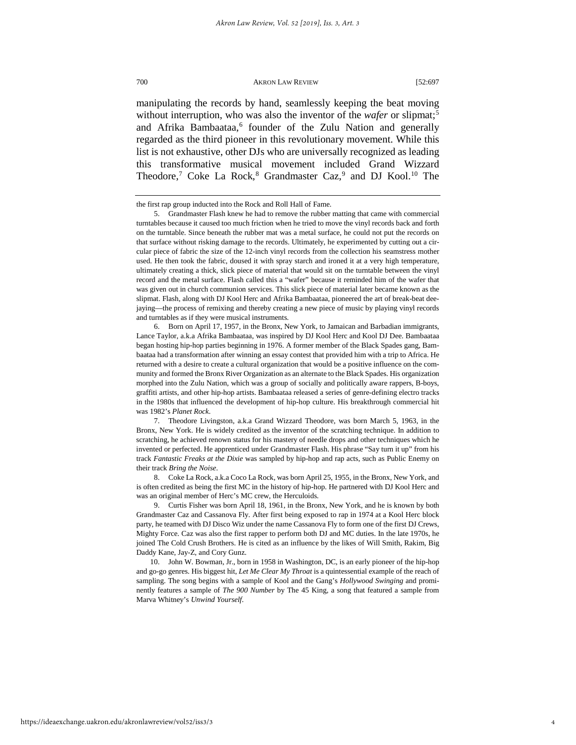manipulating the records by hand, seamlessly keeping the beat moving without interruption, who was also the inventor of the *wafer* or slipmat;<sup>5</sup> and Afrika Bambaataa,<sup>6</sup> founder of the Zulu Nation and generally regarded as the third pioneer in this revolutionary movement. While this list is not exhaustive, other DJs who are universally recognized as leading this transformative musical movement included Grand Wizzard Theodore,<sup>[7](#page-4-2)</sup> Coke La Rock,<sup>[8](#page-4-3)</sup> Grandmaster Caz,<sup>[9](#page-4-4)</sup> and DJ Kool.<sup>[10](#page-4-5)</sup> The

<span id="page-4-1"></span>6. Born on April 17, 1957, in the Bronx, New York, to Jamaican and Barbadian immigrants, Lance Taylor, a.k.a Afrika Bambaataa, was inspired by DJ Kool Herc and Kool DJ Dee. Bambaataa began hosting hip-hop parties beginning in 1976. A former member of the Black Spades gang, Bambaataa had a transformation after winning an essay contest that provided him with a trip to Africa. He returned with a desire to create a cultural organization that would be a positive influence on the community and formed the Bronx River Organization as an alternate to the Black Spades. His organization morphed into the Zulu Nation, which was a group of socially and politically aware rappers, B-boys, graffiti artists, and other hip-hop artists. Bambaataa released a series of genre-defining electro tracks in the 1980s that influenced the development of hip-hop culture. His breakthrough commercial hit was 1982's *Planet Rock*.

the first rap group inducted into the Rock and Roll Hall of Fame.

<span id="page-4-0"></span><sup>5.</sup> Grandmaster Flash knew he had to remove the rubber matting that came with commercial turntables because it caused too much friction when he tried to move the vinyl records back and forth on the turntable. Since beneath the rubber mat was a metal surface, he could not put the records on that surface without risking damage to the records. Ultimately, he experimented by cutting out a circular piece of fabric the size of the 12-inch vinyl records from the collection his seamstress mother used. He then took the fabric, doused it with spray starch and ironed it at a very high temperature, ultimately creating a thick, slick piece of material that would sit on the turntable between the vinyl record and the metal surface. Flash called this a "wafer" because it reminded him of the wafer that was given out in church communion services. This slick piece of material later became known as the slipmat. Flash, along with DJ Kool Herc and Afrika Bambaataa, pioneered the art of break-beat deejaying—the process of remixing and thereby creating a new piece of music by playing vinyl records and turntables as if they were musical instruments.

<span id="page-4-2"></span><sup>7.</sup> Theodore Livingston, a.k.a Grand Wizzard Theodore, was born March 5, 1963, in the Bronx, New York. He is widely credited as the inventor of the scratching technique. In addition to scratching, he achieved renown status for his mastery of needle drops and other techniques which he invented or perfected. He apprenticed under Grandmaster Flash. His phrase "Say turn it up" from his track *Fantastic Freaks at the Dixie* was sampled by hip-hop and rap acts, such as Public Enemy on their track *Bring the Noise*.

<span id="page-4-3"></span><sup>8.</sup> Coke La Rock, a.k.a Coco La Rock, was born April 25, 1955, in the Bronx, New York, and is often credited as being the first MC in the history of hip-hop. He partnered with DJ Kool Herc and was an original member of Herc's MC crew, the Herculoids.

<span id="page-4-4"></span><sup>9.</sup> Curtis Fisher was born April 18, 1961, in the Bronx, New York, and he is known by both Grandmaster Caz and Cassanova Fly. After first being exposed to rap in 1974 at a Kool Herc block party, he teamed with DJ Disco Wiz under the name Cassanova Fly to form one of the first DJ Crews, Mighty Force. Caz was also the first rapper to perform both DJ and MC duties. In the late 1970s, he joined The Cold Crush Brothers. He is cited as an influence by the likes of Will Smith, Rakim, Big Daddy Kane, Jay-Z, and Cory Gunz.

<span id="page-4-5"></span><sup>10.</sup> John W. Bowman, Jr., born in 1958 in Washington, DC, is an early pioneer of the hip-hop and go-go genres. His biggest hit, *Let Me Clear My Throat* is a quintessential example of the reach of sampling. The song begins with a sample of Kool and the Gang's *Hollywood Swinging* and prominently features a sample of *The 900 Number* by The 45 King, a song that featured a sample from Marva Whitney's *Unwind Yourself*.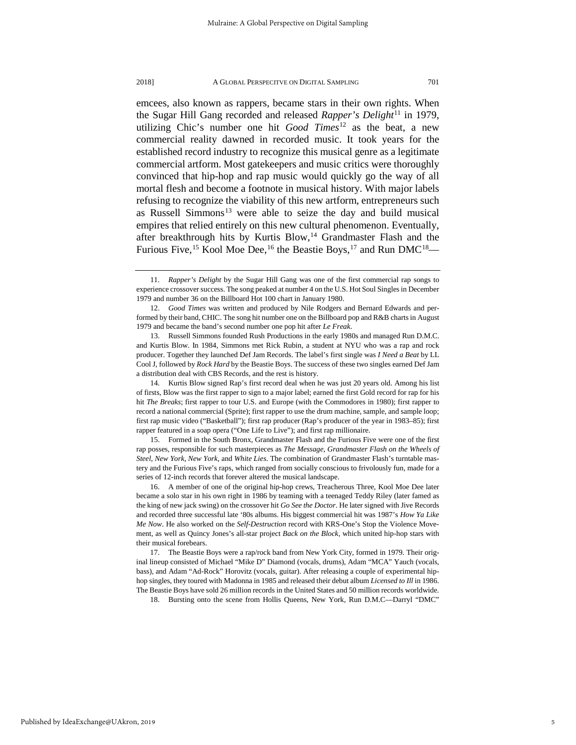emcees, also known as rappers, became stars in their own rights. When the Sugar Hill Gang recorded and released *Rapper's Delight*<sup>[11](#page-5-0)</sup> in 1979, utilizing Chic's number one hit *Good Times*[12](#page-5-1) as the beat, a new commercial reality dawned in recorded music. It took years for the established record industry to recognize this musical genre as a legitimate commercial artform. Most gatekeepers and music critics were thoroughly convinced that hip-hop and rap music would quickly go the way of all mortal flesh and become a footnote in musical history. With major labels refusing to recognize the viability of this new artform, entrepreneurs such as Russell Simmons<sup>[13](#page-5-2)</sup> were able to seize the day and build musical empires that relied entirely on this new cultural phenomenon. Eventually, after breakthrough hits by Kurtis Blow, $14$  Grandmaster Flash and the Furious Five, <sup>[15](#page-5-4)</sup> Kool Moe Dee, <sup>[16](#page-5-5)</sup> the Beastie Boys, <sup>[17](#page-5-6)</sup> and Run DMC<sup>18</sup>—

<span id="page-5-2"></span>13. Russell Simmons founded Rush Productions in the early 1980s and managed Run D.M.C. and Kurtis Blow. In 1984, Simmons met Rick Rubin, a student at NYU who was a rap and rock producer. Together they launched Def Jam Records. The label's first single was *I Need a Beat* by LL Cool J, followed by *Rock Hard* by the Beastie Boys. The success of these two singles earned Def Jam a distribution deal with CBS Records, and the rest is history.

<span id="page-5-0"></span><sup>11.</sup> *Rapper's Delight* by the Sugar Hill Gang was one of the first commercial rap songs to experience crossover success. The song peaked at number 4 on the U.S. Hot Soul Singles in December 1979 and number 36 on the Billboard Hot 100 chart in January 1980.

<span id="page-5-1"></span><sup>12.</sup> *Good Times* was written and produced by Nile Rodgers and Bernard Edwards and performed by their band, CHIC. The song hit number one on the Billboard pop and R&B charts in August 1979 and became the band's second number one pop hit after *Le Freak*.

<span id="page-5-3"></span><sup>14.</sup> Kurtis Blow signed Rap's first record deal when he was just 20 years old. Among his list of firsts, Blow was the first rapper to sign to a major label; earned the first Gold record for rap for his hit *The Breaks*; first rapper to tour U.S. and Europe (with the Commodores in 1980); first rapper to record a national commercial (Sprite); first rapper to use the drum machine, sample, and sample loop; first rap music video ("Basketball"); first rap producer (Rap's producer of the year in 1983–85); first rapper featured in a soap opera ("One Life to Live"); and first rap millionaire.

<span id="page-5-4"></span><sup>15.</sup> Formed in the South Bronx, Grandmaster Flash and the Furious Five were one of the first rap posses, responsible for such masterpieces as *The Message*, *Grandmaster Flash on the Wheels of Steel*, *New York, New York*, and *White Lies*. The combination of Grandmaster Flash's turntable mastery and the Furious Five's raps, which ranged from socially conscious to frivolously fun, made for a series of 12-inch records that forever altered the musical landscape.

<span id="page-5-5"></span><sup>16.</sup> A member of one of the original hip-hop crews, Treacherous Three, Kool Moe Dee later became a solo star in his own right in 1986 by teaming with a teenaged Teddy Riley (later famed as the king of new jack swing) on the crossover hit *Go See the Doctor*. He later signed with Jive Records and recorded three successful late '80s albums. His biggest commercial hit was 1987's *How Ya Like Me Now*. He also worked on the *Self-Destruction* record with KRS-One's Stop the Violence Movement, as well as Quincy Jones's all-star project *Back on the Block*, which united hip-hop stars with their musical forebears.

<span id="page-5-7"></span><span id="page-5-6"></span><sup>17.</sup> The Beastie Boys were a rap/rock band from New York City, formed in 1979. Their original lineup consisted of Michael "Mike D" Diamond (vocals, drums), Adam "MCA" Yauch (vocals, bass), and Adam "Ad-Rock" Horovitz (vocals, guitar). After releasing a couple of experimental hiphop singles, they toured with Madonna in 1985 and released their debut album *Licensed to Ill* in 1986. The Beastie Boys have sold 26 million records in the United States and 50 million records worldwide.

<sup>18.</sup> Bursting onto the scene from Hollis Queens, New York, Run D.M.C—Darryl "DMC"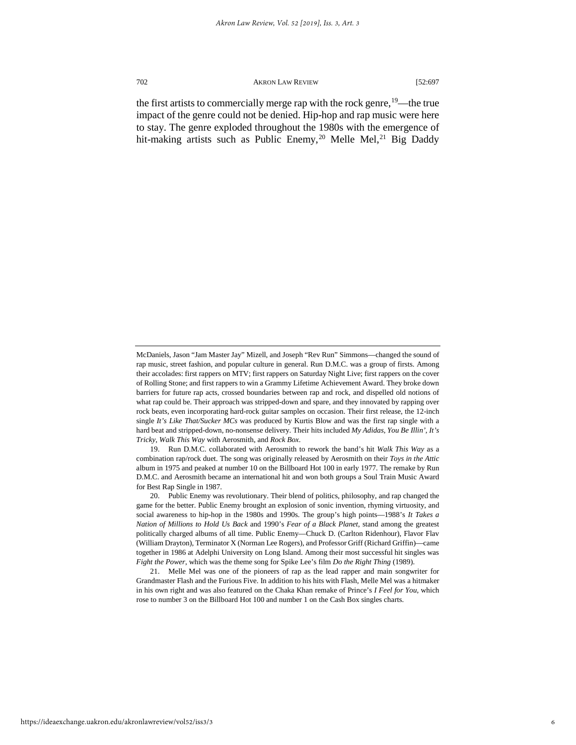the first artists to commercially merge rap with the rock genre,  $19$ —the true impact of the genre could not be denied. Hip-hop and rap music were here to stay. The genre exploded throughout the 1980s with the emergence of hit-making artists such as Public Enemy,<sup>[20](#page-6-1)</sup> Melle Mel,<sup>[21](#page-6-2)</sup> Big Daddy

<span id="page-6-0"></span>19. Run D.M.C. collaborated with Aerosmith to rework the band's hit *Walk This Way* as a combination rap/rock duet. The song was originally released by Aerosmith on their *Toys in the Attic* album in 1975 and peaked at number 10 on the Billboard Hot 100 in early 1977. The remake by Run D.M.C. and Aerosmith became an international hit and won both groups a Soul Train Music Award for Best Rap Single in 1987.

<span id="page-6-1"></span>20. Public Enemy was revolutionary. Their blend of politics, philosophy, and rap changed the game for the better. Public Enemy brought an explosion of sonic invention, rhyming virtuosity, and social awareness to hip-hop in the 1980s and 1990s. The group's high points—1988's *It Takes a Nation of Millions to Hold Us Back* and 1990's *Fear of a Black Planet*, stand among the greatest politically charged albums of all time. Public Enemy—Chuck D. (Carlton Ridenhour), Flavor Flav (William Drayton), Terminator X (Norman Lee Rogers), and Professor Griff (Richard Griffin)—came together in 1986 at Adelphi University on Long Island. Among their most successful hit singles was *Fight the Power*, which was the theme song for Spike Lee's film *Do the Right Thing* (1989).

<span id="page-6-2"></span>21. Melle Mel was one of the pioneers of rap as the lead rapper and main songwriter for Grandmaster Flash and the Furious Five. In addition to his hits with Flash, Melle Mel was a hitmaker in his own right and was also featured on the Chaka Khan remake of Prince's *I Feel for You*, which rose to number 3 on the Billboard Hot 100 and number 1 on the Cash Box singles charts.

McDaniels, Jason "Jam Master Jay" Mizell, and Joseph "Rev Run" Simmons—changed the sound of rap music, street fashion, and popular culture in general. Run D.M.C. was a group of firsts. Among their accolades: first rappers on MTV; first rappers on Saturday Night Live; first rappers on the cover of Rolling Stone; and first rappers to win a Grammy Lifetime Achievement Award. They broke down barriers for future rap acts, crossed boundaries between rap and rock, and dispelled old notions of what rap could be. Their approach was stripped-down and spare, and they innovated by rapping over rock beats, even incorporating hard-rock guitar samples on occasion. Their first release, the 12-inch single *It's Like That/Sucker MCs* was produced by Kurtis Blow and was the first rap single with a hard beat and stripped-down, no-nonsense delivery. Their hits included *My Adidas*, *You Be Illin'*, *It's Tricky*, *Walk This Way* with Aerosmith, and *Rock Box*.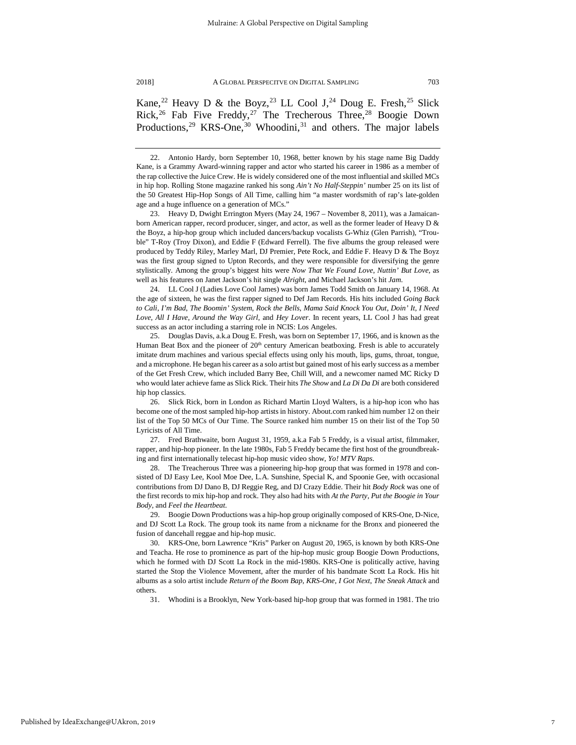Kane,<sup>22</sup> Heavy D & the Boyz,<sup>[23](#page-7-1)</sup> LL Cool J,<sup>[24](#page-7-2)</sup> Doug E. Fresh,<sup>[25](#page-7-3)</sup> Slick Rick,<sup>[26](#page-7-4)</sup> Fab Five Freddy,<sup>[27](#page-7-5)</sup> The Trecherous Three,<sup>[28](#page-7-6)</sup> Boogie Down Productions, $29$  KRS-One, $30$  Whoodini, $31$  and others. The major labels

<span id="page-7-1"></span>23. Heavy D, Dwight Errington Myers (May 24, 1967 – November 8, 2011), was a Jamaicanborn American rapper, record producer, singer, and actor, as well as the former leader of Heavy D & the Boyz, a hip-hop group which included dancers/backup vocalists G-Whiz (Glen Parrish), "Trouble" T-Roy (Troy Dixon), and Eddie F (Edward Ferrell). The five albums the group released were produced by Teddy Riley, Marley Marl, DJ Premier, Pete Rock, and Eddie F. Heavy D & The Boyz was the first group signed to Upton Records, and they were responsible for diversifying the genre stylistically. Among the group's biggest hits were *Now That We Found Love*, *Nuttin' But Love*, as well as his features on Janet Jackson's hit single *Alright*, and Michael Jackson's hit *Jam*.

<span id="page-7-2"></span>24. LL Cool J (Ladies Love Cool James) was born James Todd Smith on January 14, 1968. At the age of sixteen, he was the first rapper signed to Def Jam Records. His hits included *Going Back to Cali*, *I'm Bad*, *The Boomin' System*, *Rock the Bells*, *Mama Said Knock You Out*, *Doin' It*, *I Need Love*, *All I Have*, *Around the Way Girl*, and *Hey Lover*. In recent years, LL Cool J has had great success as an actor including a starring role in NCIS: Los Angeles.

<span id="page-7-3"></span>25. Douglas Davis, a.k.a Doug E. Fresh, was born on September 17, 1966, and is known as the Human Beat Box and the pioneer of  $20<sup>th</sup>$  century American beatboxing. Fresh is able to accurately imitate drum machines and various special effects using only his mouth, lips, gums, throat, tongue, and a microphone. He began his career as a solo artist but gained most of his early success as a member of the Get Fresh Crew, which included Barry Bee, Chill Will, and a newcomer named MC Ricky D who would later achieve fame as Slick Rick. Their hits *The Show* and *La Di Da Di* are both considered hip hop classics.

<span id="page-7-4"></span>26. Slick Rick, born in London as Richard Martin Lloyd Walters, is a hip-hop icon who has become one of the most sampled hip-hop artists in history. About.com ranked him number 12 on their list of the Top 50 MCs of Our Time. The Source ranked him number 15 on their list of the Top 50 Lyricists of All Time.

<span id="page-7-5"></span>27. Fred Brathwaite, born August 31, 1959, a.k.a Fab 5 Freddy, is a visual artist, filmmaker, rapper, and hip-hop pioneer. In the late 1980s, Fab 5 Freddy became the first host of the groundbreaking and first internationally telecast hip-hop music video show, *Yo! MTV Raps*.

<span id="page-7-6"></span>28. The Treacherous Three was a pioneering hip-hop group that was formed in 1978 and consisted of DJ Easy Lee, Kool Moe Dee, L.A. Sunshine, Special K, and Spoonie Gee, with occasional contributions from DJ Dano B, DJ Reggie Reg, and DJ Crazy Eddie. Their hit *Body Rock* was one of the first records to mix hip-hop and rock. They also had hits with *At the Party*, *Put the Boogie in Your Body*, and *Feel the Heartbeat*.

<span id="page-7-7"></span>29. Boogie Down Productions was a hip-hop group originally composed of KRS-One, D-Nice, and DJ Scott La Rock. The group took its name from a nickname for the Bronx and pioneered the fusion of dancehall reggae and hip-hop music.

<span id="page-7-9"></span><span id="page-7-8"></span>30. KRS-One, born Lawrence "Kris" Parker on August 20, 1965, is known by both KRS-One and Teacha. He rose to prominence as part of the hip-hop music group Boogie Down Productions, which he formed with DJ Scott La Rock in the mid-1980s. KRS-One is politically active, having started the Stop the Violence Movement, after the murder of his bandmate Scott La Rock. His hit albums as a solo artist include *Return of the Boom Bap*, *KRS-One*, *I Got Next*, *The Sneak Attack* and others.

31. Whodini is a Brooklyn, New York-based hip-hop group that was formed in 1981. The trio

<span id="page-7-0"></span><sup>22.</sup> Antonio Hardy, born September 10, 1968, better known by his stage name Big Daddy Kane, is a Grammy Award-winning rapper and actor who started his career in 1986 as a member of the rap collective the Juice Crew. He is widely considered one of the most influential and skilled MCs in hip hop. Rolling Stone magazine ranked his song *Ain't No Half-Steppin'* number 25 on its list of the 50 Greatest Hip-Hop Songs of All Time, calling him "a master wordsmith of rap's late-golden age and a huge influence on a generation of MCs."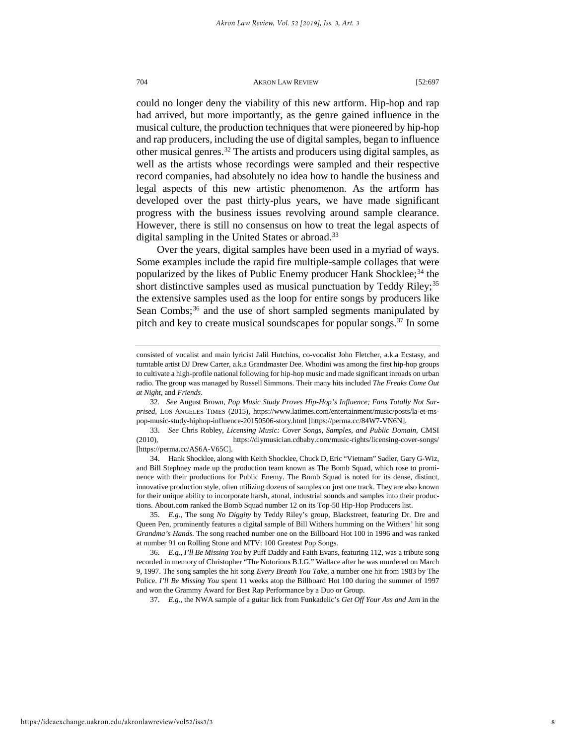could no longer deny the viability of this new artform. Hip-hop and rap had arrived, but more importantly, as the genre gained influence in the musical culture, the production techniques that were pioneered by hip-hop and rap producers, including the use of digital samples, began to influence other musical genres.<sup>[32](#page-8-0)</sup> The artists and producers using digital samples, as well as the artists whose recordings were sampled and their respective record companies, had absolutely no idea how to handle the business and legal aspects of this new artistic phenomenon. As the artform has developed over the past thirty-plus years, we have made significant progress with the business issues revolving around sample clearance. However, there is still no consensus on how to treat the legal aspects of digital sampling in the United States or abroad.<sup>[33](#page-8-1)</sup>

Over the years, digital samples have been used in a myriad of ways. Some examples include the rapid fire multiple-sample collages that were popularized by the likes of Public Enemy producer Hank Shocklee;<sup>[34](#page-8-2)</sup> the short distinctive samples used as musical punctuation by Teddy Riley;<sup>[35](#page-8-3)</sup> the extensive samples used as the loop for entire songs by producers like Sean Combs; $36$  and the use of short sampled segments manipulated by pitch and key to create musical soundscapes for popular songs.<sup>[37](#page-8-5)</sup> In some

37. *E.g.*, the NWA sample of a guitar lick from Funkadelic's *Get Off Your Ass and Jam* in the

consisted of vocalist and main lyricist Jalil Hutchins, co-vocalist John Fletcher, a.k.a Ecstasy, and turntable artist DJ Drew Carter, a.k.a Grandmaster Dee. Whodini was among the first hip-hop groups to cultivate a high-profile national following for hip-hop music and made significant inroads on urban radio. The group was managed by Russell Simmons. Their many hits included *The Freaks Come Out at Night*, and *Friends*.

<span id="page-8-0"></span><sup>32</sup>*. See* August Brown, *Pop Music Study Proves Hip-Hop's Influence; Fans Totally Not Surprised*, LOS ANGELES TIMES (2015), https://www.latimes.com/entertainment/music/posts/la-et-mspop-music-study-hiphop-influence-20150506-story.html [https://perma.cc/84W7-VN6N].

<span id="page-8-1"></span><sup>33.</sup> *See* Chris Robley, *Licensing Music: Cover Songs, Samples, and Public Domain*, CMSI (2010), https://diymusician.cdbaby.com/music-rights/licensing-cover-songs/ [https://perma.cc/AS6A-V65C].

<span id="page-8-2"></span><sup>34.</sup> Hank Shocklee, along with Keith Shocklee, Chuck D, Eric "Vietnam" Sadler, Gary G-Wiz, and Bill Stephney made up the production team known as The Bomb Squad, which rose to prominence with their productions for Public Enemy. The Bomb Squad is noted for its dense, distinct, innovative production style, often utilizing dozens of samples on just one track. They are also known for their unique ability to incorporate harsh, atonal, industrial sounds and samples into their productions. About.com ranked the Bomb Squad number 12 on its Top-50 Hip-Hop Producers list.

<span id="page-8-3"></span><sup>35.</sup> *E.g*., The song *No Diggity* by Teddy Riley's group, Blackstreet, featuring Dr. Dre and Queen Pen, prominently features a digital sample of Bill Withers humming on the Withers' hit song *Grandma's Hands*. The song reached number one on the Billboard Hot 100 in 1996 and was ranked at number 91 on Rolling Stone and MTV: 100 Greatest Pop Songs.

<span id="page-8-5"></span><span id="page-8-4"></span><sup>36.</sup> *E.g.*, *I'll Be Missing You* by Puff Daddy and Faith Evans, featuring 112, was a tribute song recorded in memory of Christopher "The Notorious B.I.G." Wallace after he was murdered on March 9, 1997. The song samples the hit song *Every Breath You Take*, a number one hit from 1983 by The Police. *I'll Be Missing You* spent 11 weeks atop the Billboard Hot 100 during the summer of 1997 and won the Grammy Award for Best Rap Performance by a Duo or Group.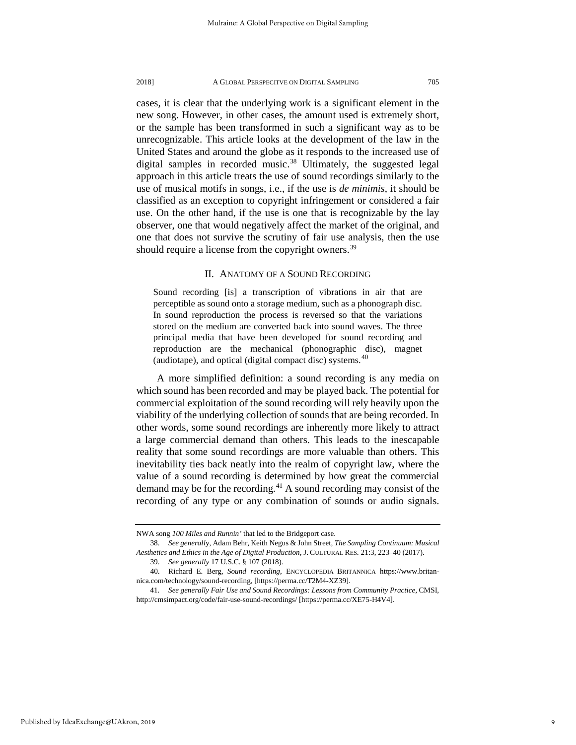cases, it is clear that the underlying work is a significant element in the new song. However, in other cases, the amount used is extremely short, or the sample has been transformed in such a significant way as to be unrecognizable. This article looks at the development of the law in the United States and around the globe as it responds to the increased use of digital samples in recorded music.<sup>[38](#page-9-0)</sup> Ultimately, the suggested legal approach in this article treats the use of sound recordings similarly to the use of musical motifs in songs, i.e., if the use is *de minimis*, it should be classified as an exception to copyright infringement or considered a fair use. On the other hand, if the use is one that is recognizable by the lay observer, one that would negatively affect the market of the original, and one that does not survive the scrutiny of fair use analysis, then the use should require a license from the copyright owners.<sup>[39](#page-9-1)</sup>

#### II. ANATOMY OF A SOUND RECORDING

Sound recording [is] a transcription of vibrations in air that are perceptible as sound onto a storage medium, such as a phonograph disc. In sound reproduction the process is reversed so that the variations stored on the medium are converted back into sound waves. The three principal media that have been developed for sound recording and reproduction are the mechanical (phonographic disc), magnet (audiotape), and optical (digital compact disc) systems.[40](#page-9-2)

A more simplified definition: a sound recording is any media on which sound has been recorded and may be played back. The potential for commercial exploitation of the sound recording will rely heavily upon the viability of the underlying collection of sounds that are being recorded. In other words, some sound recordings are inherently more likely to attract a large commercial demand than others. This leads to the inescapable reality that some sound recordings are more valuable than others. This inevitability ties back neatly into the realm of copyright law, where the value of a sound recording is determined by how great the commercial demand may be for the recording.[41](#page-9-3) A sound recording may consist of the recording of any type or any combination of sounds or audio signals.

NWA song *100 Miles and Runnin'* that led to the Bridgeport case.

<span id="page-9-0"></span><sup>38.</sup> *See generall*y, Adam Behr, Keith Negus & John Street, *The Sampling Continuum: Musical Aesthetics and Ethics in the Age of Digital Production*, J. CULTURAL RES. 21:3, 223–40 (2017).

<sup>39.</sup> *See generally* 17 U.S.C. § 107 (2018).

<span id="page-9-2"></span><span id="page-9-1"></span><sup>40.</sup> Richard E. Berg, *Sound recording*, ENCYCLOPEDIA BRITANNICA https://www.britannica.com/technology/sound-recording, [https://perma.cc/T2M4-XZ39].

<span id="page-9-3"></span><sup>41</sup>*. See generally Fair Use and Sound Recordings: Lessons from Community Practice,* CMSI, http://cmsimpact.org/code/fair-use-sound-recordings/ [https://perma.cc/XE75-H4V4].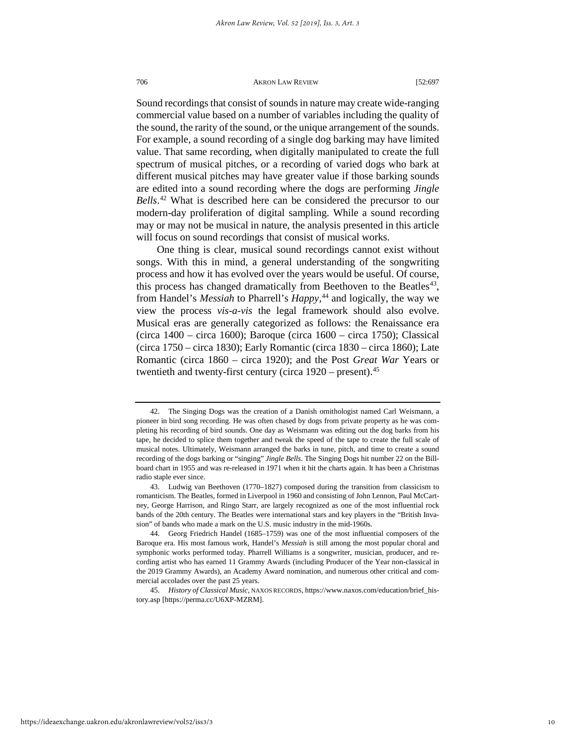Sound recordings that consist of sounds in nature may create wide-ranging commercial value based on a number of variables including the quality of the sound, the rarity of the sound, or the unique arrangement of the sounds. For example, a sound recording of a single dog barking may have limited value. That same recording, when digitally manipulated to create the full spectrum of musical pitches, or a recording of varied dogs who bark at different musical pitches may have greater value if those barking sounds are edited into a sound recording where the dogs are performing *Jingle Bells*. [42](#page-10-0) What is described here can be considered the precursor to our modern-day proliferation of digital sampling. While a sound recording may or may not be musical in nature, the analysis presented in this article will focus on sound recordings that consist of musical works.

One thing is clear, musical sound recordings cannot exist without songs. With this in mind, a general understanding of the songwriting process and how it has evolved over the years would be useful. Of course, this process has changed dramatically from Beethoven to the Beatles<sup>[43](#page-10-1)</sup>, from Handel's *Messiah* to Pharrell's *Happy,*[44](#page-10-2) and logically, the way we view the process *vis-a-vis* the legal framework should also evolve. Musical eras are generally categorized as follows: the Renaissance era (circa 1400 – circa 1600); Baroque (circa 1600 – circa 1750); Classical (circa 1750 – circa 1830); Early Romantic (circa 1830 – circa 1860); Late Romantic (circa 1860 – circa 1920); and the Post *Great War* Years or twentieth and twenty-first century (circa  $1920$  – present).<sup>[45](#page-10-3)</sup>

<span id="page-10-3"></span>45. *History of Classical Music*, NAXOS RECORDS, https://www.naxos.com/education/brief\_history.asp [https://perma.cc/U6XP-MZRM].

<span id="page-10-0"></span><sup>42.</sup> The Singing Dogs was the creation of a Danish ornithologist named Carl Weismann, a pioneer in bird song recording. He was often chased by dogs from private property as he was completing his recording of bird sounds. One day as Weismann was editing out the dog barks from his tape, he decided to splice them together and tweak the speed of the tape to create the full scale of musical notes. Ultimately, Weismann arranged the barks in tune, pitch, and time to create a sound recording of the dogs barking or "singing" *Jingle Bells*. The Singing Dogs hit number 22 on the Billboard chart in 1955 and was re-released in 1971 when it hit the charts again. It has been a Christmas radio staple ever since.

<span id="page-10-1"></span><sup>43.</sup> Ludwig van Beethoven (1770–1827) composed during the transition from classicism to romanticism. The Beatles, formed in Liverpool in 1960 and consisting of John Lennon, Paul McCartney, George Harrison, and Ringo Starr, are largely recognized as one of the most influential rock bands of the 20th century. The Beatles were international stars and key players in the "British Invasion" of bands who made a mark on the U.S. music industry in the mid-1960s.

<span id="page-10-2"></span><sup>44.</sup> Georg Friedrich Handel (1685–1759) was one of the most influential composers of the Baroque era. His most famous work, Handel's *Messiah* is still among the most popular choral and symphonic works performed today. Pharrell Williams is a songwriter, musician, producer, and recording artist who has earned 11 Grammy Awards (including Producer of the Year non-classical in the 2019 Grammy Awards), an Academy Award nomination, and numerous other critical and commercial accolades over the past 25 years.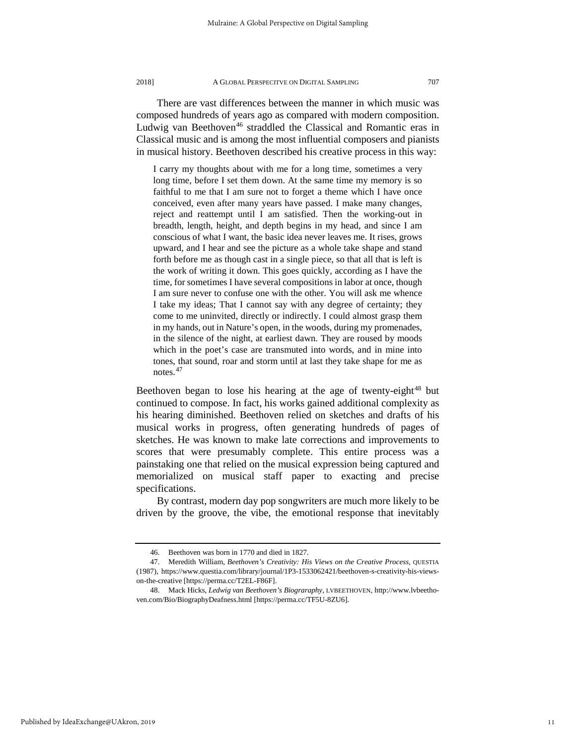There are vast differences between the manner in which music was composed hundreds of years ago as compared with modern composition. Ludwig van Beethoven<sup>[46](#page-11-0)</sup> straddled the Classical and Romantic eras in Classical music and is among the most influential composers and pianists

I carry my thoughts about with me for a long time, sometimes a very long time, before I set them down. At the same time my memory is so faithful to me that I am sure not to forget a theme which I have once conceived, even after many years have passed. I make many changes, reject and reattempt until I am satisfied. Then the working-out in breadth, length, height, and depth begins in my head, and since I am conscious of what I want, the basic idea never leaves me. It rises, grows upward, and I hear and see the picture as a whole take shape and stand forth before me as though cast in a single piece, so that all that is left is the work of writing it down. This goes quickly, according as I have the time, for sometimes I have several compositions in labor at once, though I am sure never to confuse one with the other. You will ask me whence I take my ideas; That I cannot say with any degree of certainty; they come to me uninvited, directly or indirectly. I could almost grasp them in my hands, out in Nature's open, in the woods, during my promenades, in the silence of the night, at earliest dawn. They are roused by moods which in the poet's case are transmuted into words, and in mine into tones, that sound, roar and storm until at last they take shape for me as notes.[47](#page-11-1)

in musical history. Beethoven described his creative process in this way:

Beethoven began to lose his hearing at the age of twenty-eight<sup>[48](#page-11-2)</sup> but continued to compose. In fact, his works gained additional complexity as his hearing diminished. Beethoven relied on sketches and drafts of his musical works in progress, often generating hundreds of pages of sketches. He was known to make late corrections and improvements to scores that were presumably complete. This entire process was a painstaking one that relied on the musical expression being captured and memorialized on musical staff paper to exacting and precise specifications.

By contrast, modern day pop songwriters are much more likely to be driven by the groove, the vibe, the emotional response that inevitably

Published by IdeaExchange@UAkron, 2019

<sup>46.</sup> Beethoven was born in 1770 and died in 1827.

<span id="page-11-1"></span><span id="page-11-0"></span><sup>47.</sup> Meredith William, *Beethoven's Creativity: His Views on the Creative Process*, QUESTIA (1987), https://www.questia.com/library/journal/1P3-1533062421/beethoven-s-creativity-his-viewson-the-creative [https://perma.cc/T2EL-F86F].

<span id="page-11-2"></span><sup>48.</sup> Mack Hicks, *Ledwig van Beethoven's Biograraphy,* LVBEETHOVEN, http://www.lvbeethoven.com/Bio/BiographyDeafness.html [https://perma.cc/TF5U-8ZU6].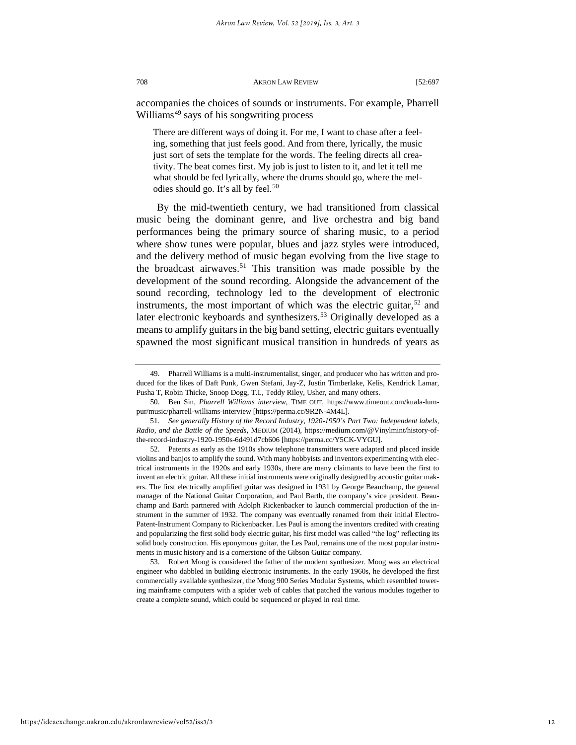accompanies the choices of sounds or instruments. For example, Pharrell Williams<sup>[49](#page-12-0)</sup> says of his songwriting process

There are different ways of doing it. For me, I want to chase after a feeling, something that just feels good. And from there, lyrically, the music just sort of sets the template for the words. The feeling directs all creativity. The beat comes first. My job is just to listen to it, and let it tell me what should be fed lyrically, where the drums should go, where the mel-odies should go. It's all by feel.<sup>[50](#page-12-1)</sup>

By the mid-twentieth century, we had transitioned from classical music being the dominant genre, and live orchestra and big band performances being the primary source of sharing music, to a period where show tunes were popular, blues and jazz styles were introduced, and the delivery method of music began evolving from the live stage to the broadcast airwaves.<sup>[51](#page-12-2)</sup> This transition was made possible by the development of the sound recording. Alongside the advancement of the sound recording, technology led to the development of electronic instruments, the most important of which was the electric guitar,  $52$  and later electronic keyboards and synthesizers.<sup>[53](#page-12-4)</sup> Originally developed as a means to amplify guitars in the big band setting, electric guitars eventually spawned the most significant musical transition in hundreds of years as

https://ideaexchange.uakron.edu/akronlawreview/vol52/iss3/3

<span id="page-12-0"></span><sup>49.</sup> Pharrell Williams is a multi-instrumentalist, singer, and producer who has written and produced for the likes of Daft Punk, Gwen Stefani, Jay-Z, Justin Timberlake, Kelis, Kendrick Lamar, Pusha T, Robin Thicke, Snoop Dogg, T.I., Teddy Riley, Usher, and many others.

<span id="page-12-1"></span><sup>50.</sup> Ben Sin, *Pharrell Williams interview*, TIME OUT, https://www.timeout.com/kuala-lumpur/music/pharrell-williams-interview [https://perma.cc/9R2N-4M4L].

<span id="page-12-2"></span><sup>51.</sup> *See generally History of the Record Industry, 1920-1950's Part Two: Independent labels, Radio, and the Battle of the Speeds,* MEDIUM (2014)*,* https://medium.com/@Vinylmint/history-ofthe-record-industry-1920-1950s-6d491d7cb606 [https://perma.cc/Y5CK-VYGU].

<span id="page-12-3"></span><sup>52.</sup> Patents as early as the 1910s show telephone transmitters were adapted and placed inside violins and banjos to amplify the sound. With many hobbyists and inventors experimenting with electrical instruments in the 1920s and early 1930s, there are many claimants to have been the first to invent an electric guitar. All these initial instruments were originally designed by acoustic guitar makers. The first electrically amplified guitar was designed in 1931 by George Beauchamp, the general manager of the National Guitar Corporation, and Paul Barth, the company's vice president. Beauchamp and Barth partnered with Adolph Rickenbacker to launch commercial production of the instrument in the summer of 1932. The company was eventually renamed from their initial Electro-Patent-Instrument Company to Rickenbacker. Les Paul is among the inventors credited with creating and popularizing the first solid body electric guitar, his first model was called "the log" reflecting its solid body construction. His eponymous guitar, the Les Paul, remains one of the most popular instruments in music history and is a cornerstone of the Gibson Guitar company.

<span id="page-12-4"></span><sup>53.</sup> Robert Moog is considered the father of the modern synthesizer. Moog was an electrical engineer who dabbled in building electronic instruments. In the early 1960s, he developed the first commercially available synthesizer, the Moog 900 Series Modular Systems, which resembled towering mainframe computers with a spider web of cables that patched the various modules together to create a complete sound, which could be sequenced or played in real time.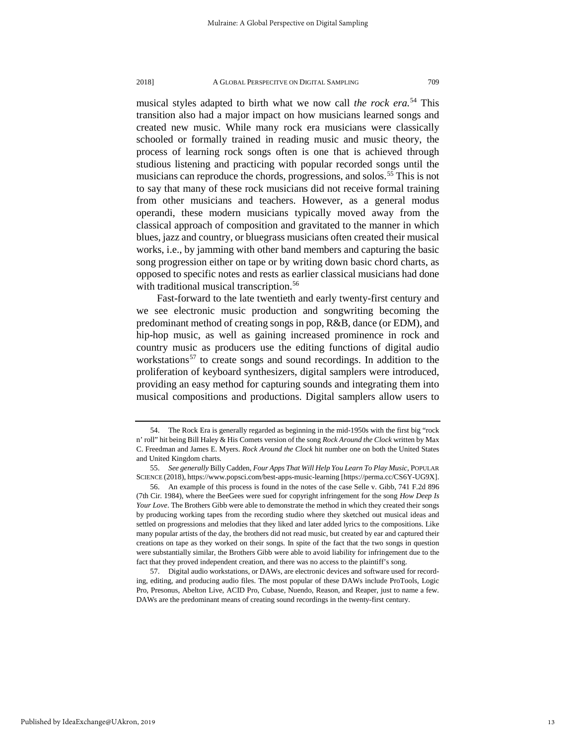musical styles adapted to birth what we now call *the rock era.*[54](#page-13-0) This transition also had a major impact on how musicians learned songs and created new music. While many rock era musicians were classically schooled or formally trained in reading music and music theory, the process of learning rock songs often is one that is achieved through studious listening and practicing with popular recorded songs until the musicians can reproduce the chords, progressions, and solos.<sup>[55](#page-13-1)</sup> This is not to say that many of these rock musicians did not receive formal training from other musicians and teachers. However, as a general modus operandi, these modern musicians typically moved away from the classical approach of composition and gravitated to the manner in which blues, jazz and country, or bluegrass musicians often created their musical works, i.e., by jamming with other band members and capturing the basic song progression either on tape or by writing down basic chord charts, as opposed to specific notes and rests as earlier classical musicians had done with traditional musical transcription.<sup>[56](#page-13-2)</sup>

Fast-forward to the late twentieth and early twenty-first century and we see electronic music production and songwriting becoming the predominant method of creating songs in pop, R&B, dance (or EDM), and hip-hop music, as well as gaining increased prominence in rock and country music as producers use the editing functions of digital audio workstations<sup>[57](#page-13-3)</sup> to create songs and sound recordings. In addition to the proliferation of keyboard synthesizers, digital samplers were introduced, providing an easy method for capturing sounds and integrating them into musical compositions and productions. Digital samplers allow users to

<span id="page-13-0"></span><sup>54.</sup> The Rock Era is generally regarded as beginning in the mid-1950s with the first big "rock n' roll" hit being Bill Haley & His Comets version of the song *Rock Around the Clock* written by Max C. Freedman and James E. Myers. *Rock Around the Clock* hit number one on both the United States and United Kingdom charts.

<span id="page-13-1"></span><sup>55.</sup> *See generally* Billy Cadden*, Four Apps That Will Help You Learn To Play Music*, POPULAR SCIENCE (2018), https://www.popsci.com/best-apps-music-learning [https://perma.cc/CS6Y-UG9X].

<span id="page-13-2"></span><sup>56.</sup> An example of this process is found in the notes of the case Selle v. Gibb, 741 F.2d 896 (7th Cir. 1984), where the BeeGees were sued for copyright infringement for the song *How Deep Is Your Love*. The Brothers Gibb were able to demonstrate the method in which they created their songs by producing working tapes from the recording studio where they sketched out musical ideas and settled on progressions and melodies that they liked and later added lyrics to the compositions. Like many popular artists of the day, the brothers did not read music, but created by ear and captured their creations on tape as they worked on their songs. In spite of the fact that the two songs in question were substantially similar, the Brothers Gibb were able to avoid liability for infringement due to the fact that they proved independent creation, and there was no access to the plaintiff's song.

<span id="page-13-3"></span><sup>57.</sup> Digital audio workstations, or DAWs, are electronic devices and software used for recording, editing, and producing audio files. The most popular of these DAWs include ProTools, Logic Pro, Presonus, Abelton Live, ACID Pro, Cubase, Nuendo, Reason, and Reaper, just to name a few. DAWs are the predominant means of creating sound recordings in the twenty-first century.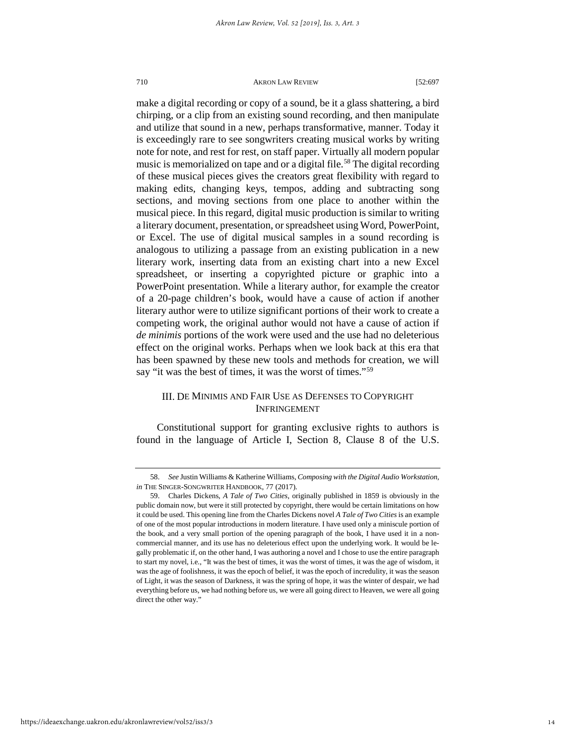make a digital recording or copy of a sound, be it a glass shattering, a bird chirping, or a clip from an existing sound recording, and then manipulate and utilize that sound in a new, perhaps transformative, manner. Today it is exceedingly rare to see songwriters creating musical works by writing note for note, and rest for rest, on staff paper. Virtually all modern popular music is memorialized on tape and or a digital file.<sup>[58](#page-14-0)</sup> The digital recording of these musical pieces gives the creators great flexibility with regard to making edits, changing keys, tempos, adding and subtracting song sections, and moving sections from one place to another within the musical piece. In this regard, digital music production is similar to writing a literary document, presentation, or spreadsheet using Word, PowerPoint, or Excel. The use of digital musical samples in a sound recording is analogous to utilizing a passage from an existing publication in a new literary work, inserting data from an existing chart into a new Excel spreadsheet, or inserting a copyrighted picture or graphic into a PowerPoint presentation. While a literary author, for example the creator of a 20-page children's book, would have a cause of action if another literary author were to utilize significant portions of their work to create a competing work, the original author would not have a cause of action if *de minimis* portions of the work were used and the use had no deleterious effect on the original works. Perhaps when we look back at this era that has been spawned by these new tools and methods for creation, we will say "it was the best of times, it was the worst of times."<sup>[59](#page-14-1)</sup>

#### III. DE MINIMIS AND FAIR USE AS DEFENSES TO COPYRIGHT INFRINGEMENT

Constitutional support for granting exclusive rights to authors is found in the language of Article I, Section 8, Clause 8 of the U.S.

<span id="page-14-1"></span><span id="page-14-0"></span>

<sup>58.</sup> *See* Justin Williams & Katherine Williams, *Composing with the Digital Audio Workstation, in* THE SINGER-SONGWRITER HANDBOOK, 77 (2017).

<sup>59.</sup> Charles Dickens, *A Tale of Two Cities*, originally published in 1859 is obviously in the public domain now, but were it still protected by copyright, there would be certain limitations on how it could be used. This opening line from the Charles Dickens novel *A Tale of Two Cities*is an example of one of the most popular introductions in modern literature. I have used only a miniscule portion of the book, and a very small portion of the opening paragraph of the book, I have used it in a noncommercial manner, and its use has no deleterious effect upon the underlying work. It would be legally problematic if, on the other hand, I was authoring a novel and I chose to use the entire paragraph to start my novel, i.e., "It was the best of times, it was the worst of times, it was the age of wisdom, it was the age of foolishness, it was the epoch of belief, it was the epoch of incredulity, it was the season of Light, it was the season of Darkness, it was the spring of hope, it was the winter of despair, we had everything before us, we had nothing before us, we were all going direct to Heaven, we were all going direct the other way."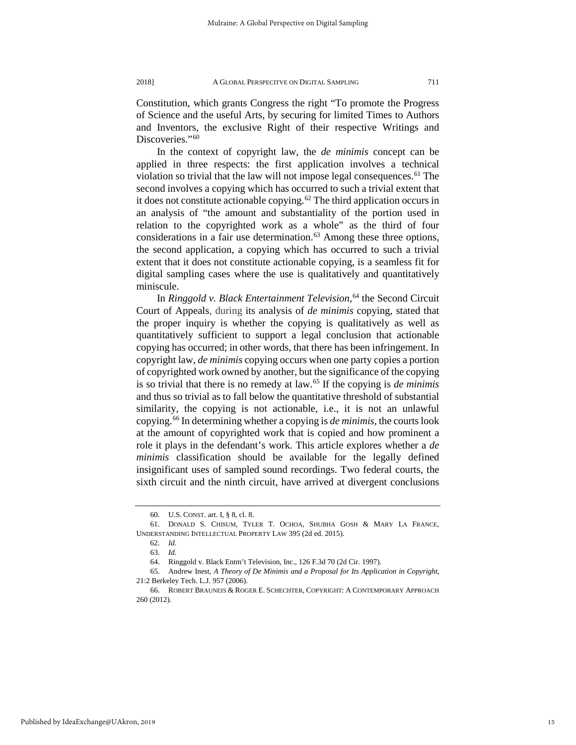Constitution, which grants Congress the right "To promote the Progress of Science and the useful Arts, by securing for limited Times to Authors and Inventors, the exclusive Right of their respective Writings and Discoveries."<sup>[60](#page-15-0)</sup>

In the context of copyright law, the *de minimis* concept can be applied in three respects: the first application involves a technical violation so trivial that the law will not impose legal consequences.<sup>[61](#page-15-1)</sup> The second involves a copying which has occurred to such a trivial extent that it does not constitute actionable copying.<sup>[62](#page-15-2)</sup> The third application occurs in an analysis of "the amount and substantiality of the portion used in relation to the copyrighted work as a whole" as the third of four considerations in a fair use determination.<sup>63</sup> Among these three options, the second application, a copying which has occurred to such a trivial extent that it does not constitute actionable copying, is a seamless fit for digital sampling cases where the use is qualitatively and quantitatively miniscule.

In *Ringgold v. Black Entertainment Television*, [64](#page-15-4) the Second Circuit Court of Appeals, during its analysis of *de minimis* copying, stated that the proper inquiry is whether the copying is qualitatively as well as quantitatively sufficient to support a legal conclusion that actionable copying has occurred; in other words, that there has been infringement. In copyright law, *de minimis* copying occurs when one party copies a portion of copyrighted work owned by another, but the significance of the copying is so trivial that there is no remedy at law.[65](#page-15-5) If the copying is *de minimis* and thus so trivial as to fall below the quantitative threshold of substantial similarity, the copying is not actionable, i.e., it is not an unlawful copying.[66](#page-15-6) In determining whether a copying is *de minimis*, the courts look at the amount of copyrighted work that is copied and how prominent a role it plays in the defendant's work. This article explores whether a *de minimis* classification should be available for the legally defined insignificant uses of sampled sound recordings. Two federal courts, the sixth circuit and the ninth circuit, have arrived at divergent conclusions

<sup>60.</sup> U.S. CONST. art. I, § 8, cl. 8.

<span id="page-15-3"></span><span id="page-15-2"></span><span id="page-15-1"></span><span id="page-15-0"></span><sup>61.</sup> DONALD S. CHISUM, TYLER T. OCHOA, SHUBHA GOSH & MARY LA FRANCE, UNDERSTANDING INTELLECTUAL PROPERTY LAW 395 (2d ed. 2015).

<sup>62.</sup> *Id.*

<sup>63.</sup> *Id.* 64. Ringgold v. Black Entm't Television, Inc., 126 F.3d 70 (2d Cir. 1997).

<span id="page-15-5"></span><span id="page-15-4"></span><sup>65.</sup> Andrew Inest, *A Theory of De Minimis and a Proposal for Its Application in Copyright*, 21:2 Berkeley Tech. L.J. 957 (2006).

<span id="page-15-6"></span><sup>66.</sup> ROBERT BRAUNEIS & ROGER E. SCHECHTER, COPYRIGHT: A CONTEMPORARY APPROACH 260 (2012).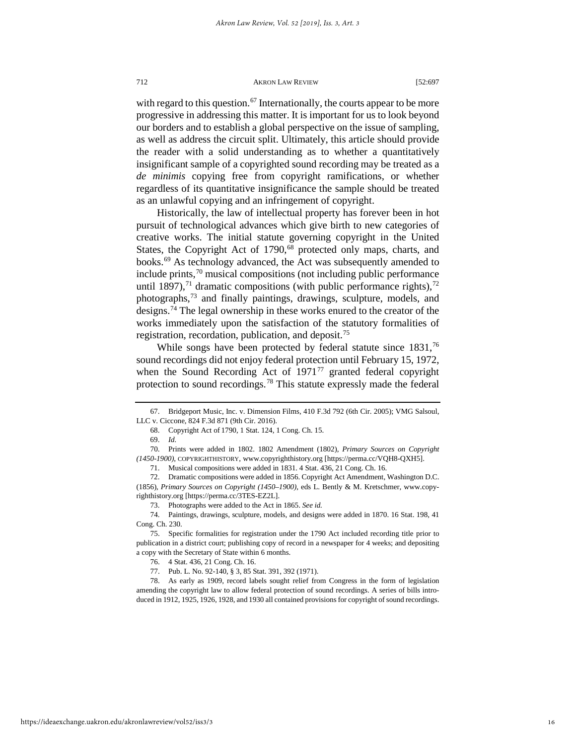with regard to this question.<sup>[67](#page-16-0)</sup> Internationally, the courts appear to be more progressive in addressing this matter. It is important for us to look beyond our borders and to establish a global perspective on the issue of sampling, as well as address the circuit split. Ultimately, this article should provide the reader with a solid understanding as to whether a quantitatively insignificant sample of a copyrighted sound recording may be treated as a *de minimis* copying free from copyright ramifications, or whether regardless of its quantitative insignificance the sample should be treated as an unlawful copying and an infringement of copyright.

Historically, the law of intellectual property has forever been in hot pursuit of technological advances which give birth to new categories of creative works. The initial statute governing copyright in the United States, the Copyright Act of 1790,<sup>68</sup> protected only maps, charts, and books[.69](#page-16-2) As technology advanced, the Act was subsequently amended to include prints, $70$  musical compositions (not including public performance until 1897),<sup>71</sup> dramatic compositions (with public performance rights),<sup>[72](#page-16-5)</sup> photographs,[73](#page-16-6) and finally paintings, drawings, sculpture, models, and designs.[74](#page-16-7) The legal ownership in these works enured to the creator of the works immediately upon the satisfaction of the statutory formalities of registration, recordation, publication, and deposit.<sup>[75](#page-16-8)</sup>

While songs have been protected by federal statute since 1831,<sup>[76](#page-16-9)</sup> sound recordings did not enjoy federal protection until February 15, 1972, when the Sound Recording Act of 1971<sup>[77](#page-16-10)</sup> granted federal copyright protection to sound recordings.[78](#page-16-11) This statute expressly made the federal

<span id="page-16-3"></span><span id="page-16-2"></span>70. Prints were added in 1802. 1802 Amendment (1802), *Primary Sources on Copyright (1450-1900)*, COPYRIGHTHISTORY, www.copyrighthistory.org [https://perma.cc/VQH8-QXH5].

<span id="page-16-1"></span><span id="page-16-0"></span><sup>67.</sup> Bridgeport Music, Inc. v. Dimension Films, 410 F.3d 792 (6th Cir. 2005); VMG Salsoul, LLC v. Ciccone, 824 F.3d 871 (9th Cir. 2016).

<sup>68.</sup> Copyright Act of 1790, 1 Stat. 124, 1 Cong. Ch. 15.

<sup>69.</sup> *Id.*

<sup>71.</sup> Musical compositions were added in 1831. 4 Stat. 436, 21 Cong. Ch. 16.

<span id="page-16-5"></span><span id="page-16-4"></span><sup>72.</sup> Dramatic compositions were added in 1856. Copyright Act Amendment, Washington D.C. (1856), *Primary Sources on Copyright (1450–1900)*, eds L. Bently & M. Kretschmer, www.copyrighthistory.org [https://perma.cc/3TES-EZ2L].

<sup>73.</sup> Photographs were added to the Act in 1865. *See id.*

<span id="page-16-6"></span><sup>74.</sup> Paintings, drawings, sculpture, models, and designs were added in 1870. 16 Stat. 198, 41 Cong. Ch. 230.

<span id="page-16-9"></span><span id="page-16-8"></span><span id="page-16-7"></span><sup>75.</sup> Specific formalities for registration under the 1790 Act included recording title prior to publication in a district court; publishing copy of record in a newspaper for 4 weeks; and depositing a copy with the Secretary of State within 6 months.

<sup>76.</sup> 4 Stat. 436, 21 Cong. Ch. 16.

<sup>77.</sup> Pub. L. No. 92-140, § 3, 85 Stat. 391, 392 (1971).

<span id="page-16-11"></span><span id="page-16-10"></span><sup>78.</sup> As early as 1909, record labels sought relief from Congress in the form of legislation amending the copyright law to allow federal protection of sound recordings. A series of bills introduced in 1912, 1925, 1926, 1928, and 1930 all contained provisions for copyright of sound recordings.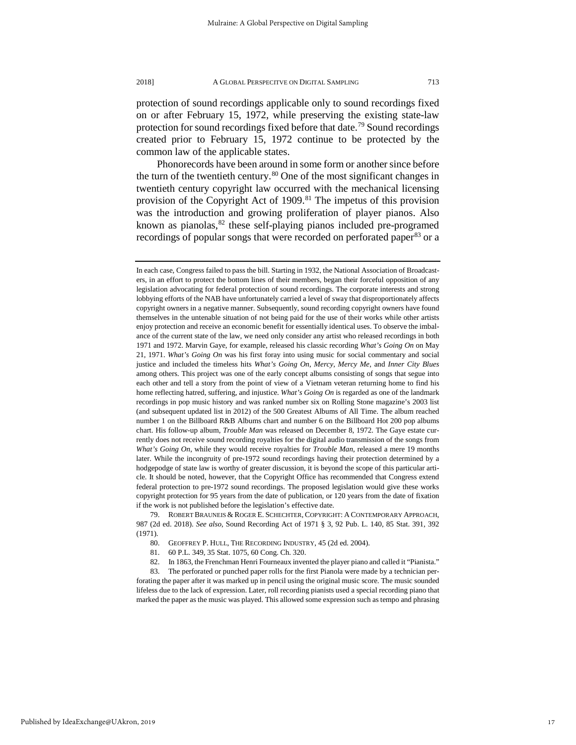protection of sound recordings applicable only to sound recordings fixed on or after February 15, 1972, while preserving the existing state-law protection for sound recordings fixed before that date.<sup>[79](#page-17-0)</sup> Sound recordings created prior to February 15, 1972 continue to be protected by the common law of the applicable states.

Phonorecords have been around in some form or another since before the turn of the twentieth century.<sup>[80](#page-17-1)</sup> One of the most significant changes in twentieth century copyright law occurred with the mechanical licensing provision of the Copyright Act of 1909.<sup>81</sup> The impetus of this provision was the introduction and growing proliferation of player pianos. Also known as pianolas,  $82$  these self-playing pianos included pre-programed recordings of popular songs that were recorded on perforated paper<sup>[83](#page-17-4)</sup> or a

<span id="page-17-1"></span><span id="page-17-0"></span>79. ROBERT BRAUNEIS & ROGER E. SCHECHTER, COPYRIGHT: A CONTEMPORARY APPROACH, 987 (2d ed. 2018). *See also*, Sound Recording Act of 1971 § 3, 92 Pub. L. 140, 85 Stat. 391, 392 (1971).

<span id="page-17-4"></span><span id="page-17-3"></span><span id="page-17-2"></span>83. The perforated or punched paper rolls for the first Pianola were made by a technician perforating the paper after it was marked up in pencil using the original music score. The music sounded lifeless due to the lack of expression. Later, roll recording pianists used a special recording piano that marked the paper as the music was played. This allowed some expression such as tempo and phrasing

In each case, Congress failed to pass the bill. Starting in 1932, the National Association of Broadcasters, in an effort to protect the bottom lines of their members, began their forceful opposition of any legislation advocating for federal protection of sound recordings. The corporate interests and strong lobbying efforts of the NAB have unfortunately carried a level of sway that disproportionately affects copyright owners in a negative manner. Subsequently, sound recording copyright owners have found themselves in the untenable situation of not being paid for the use of their works while other artists enjoy protection and receive an economic benefit for essentially identical uses. To observe the imbalance of the current state of the law, we need only consider any artist who released recordings in both 1971 and 1972. Marvin Gaye, for example, released his classic recording *What's Going On* on May 21, 1971. *What's Going On* was his first foray into using music for social commentary and social justice and included the timeless hits *What's Going On*, *Mercy, Mercy Me*, and *Inner City Blues* among others. This project was one of the early concept albums consisting of songs that segue into each other and tell a story from the point of view of a Vietnam veteran returning home to find his home reflecting hatred, suffering, and injustice. *What's Going On* is regarded as one of the landmark recordings in pop music history and was ranked number six on Rolling Stone magazine's 2003 list (and subsequent updated list in 2012) of the 500 Greatest Albums of All Time. The album reached number 1 on the Billboard R&B Albums chart and number 6 on the Billboard Hot 200 pop albums chart. His follow-up album, *Trouble Man* was released on December 8, 1972. The Gaye estate currently does not receive sound recording royalties for the digital audio transmission of the songs from *What's Going On*, while they would receive royalties for *Trouble Man*, released a mere 19 months later. While the incongruity of pre-1972 sound recordings having their protection determined by a hodgepodge of state law is worthy of greater discussion, it is beyond the scope of this particular article. It should be noted, however, that the Copyright Office has recommended that Congress extend federal protection to pre-1972 sound recordings. The proposed legislation would give these works copyright protection for 95 years from the date of publication, or 120 years from the date of fixation if the work is not published before the legislation's effective date.

<sup>80.</sup> GEOFFREY P. HULL, THE RECORDING INDUSTRY, 45 (2d ed. 2004).

<sup>81.</sup> 60 P.L. 349, 35 Stat. 1075, 60 Cong. Ch. 320.

<sup>82.</sup> In 1863, the Frenchman Henri Fourneaux invented the player piano and called it "Pianista."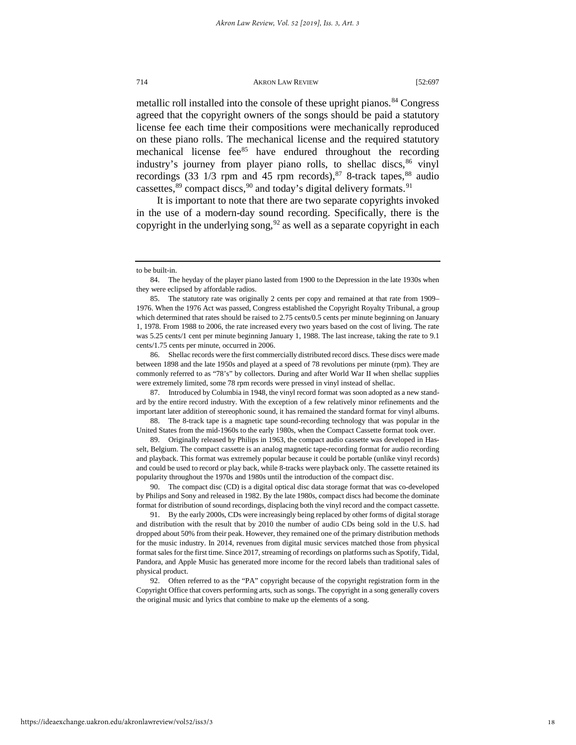metallic roll installed into the console of these upright pianos.<sup>[84](#page-18-0)</sup> Congress agreed that the copyright owners of the songs should be paid a statutory license fee each time their compositions were mechanically reproduced on these piano rolls. The mechanical license and the required statutory mechanical license fee $^{85}$  $^{85}$  $^{85}$  have endured throughout the recording industry's journey from player piano rolls, to shellac discs,<sup>[86](#page-18-2)</sup> vinyl recordings (33 1/3 rpm and 45 rpm records), $87$  8-track tapes, $88$  audio cassettes, $89$  compact discs,  $90$  and today's digital delivery formats.  $91$ 

It is important to note that there are two separate copyrights invoked in the use of a modern-day sound recording. Specifically, there is the copyright in the underlying song,  $92$  as well as a separate copyright in each

<span id="page-18-2"></span>86. Shellac records were the first commercially distributed record discs. These discs were made between 1898 and the late 1950s and played at a speed of 78 revolutions per minute (rpm). They are commonly referred to as "78's" by collectors. During and after World War II when shellac supplies were extremely limited, some 78 rpm records were pressed in vinyl instead of shellac.

<span id="page-18-3"></span>87. Introduced by Columbia in 1948, the vinyl record format was soon adopted as a new standard by the entire record industry. With the exception of a few relatively minor refinements and the important later addition of stereophonic sound, it has remained the standard format for vinyl albums.

<span id="page-18-4"></span>88. The 8-track tape is a magnetic tape sound-recording technology that was popular in the United States from the mid-1960s to the early 1980s, when the Compact Cassette format took over.

<span id="page-18-5"></span>89. Originally released by Philips in 1963, the compact audio cassette was developed in Hasselt, Belgium. The compact cassette is an analog magnetic tape-recording format for audio recording and playback. This format was extremely popular because it could be portable (unlike vinyl records) and could be used to record or play back, while 8-tracks were playback only. The cassette retained its popularity throughout the 1970s and 1980s until the introduction of the compact disc.

<span id="page-18-6"></span>90. The compact disc (CD) is a digital optical disc data storage format that was co-developed by Philips and Sony and released in 1982. By the late 1980s, compact discs had become the dominate format for distribution of sound recordings, displacing both the vinyl record and the compact cassette.

<span id="page-18-7"></span>91. By the early 2000s, CDs were increasingly being replaced by other forms of digital storage and distribution with the result that by 2010 the number of audio CDs being sold in the U.S. had dropped about 50% from their peak. However, they remained one of the primary distribution methods for the music industry. In 2014, revenues from digital music services matched those from physical format sales for the first time. Since 2017, streaming of recordings on platforms such as Spotify, Tidal, Pandora, and Apple Music has generated more income for the record labels than traditional sales of physical product.

<span id="page-18-8"></span>92. Often referred to as the "PA" copyright because of the copyright registration form in the Copyright Office that covers performing arts, such as songs. The copyright in a song generally covers the original music and lyrics that combine to make up the elements of a song.

to be built-in.

<span id="page-18-0"></span><sup>84.</sup> The heyday of the player piano lasted from 1900 to the Depression in the late 1930s when they were eclipsed by affordable radios.

<span id="page-18-1"></span><sup>85.</sup> The statutory rate was originally 2 cents per copy and remained at that rate from 1909– 1976. When the 1976 Act was passed, Congress established the Copyright Royalty Tribunal, a group which determined that rates should be raised to 2.75 cents/0.5 cents per minute beginning on January 1, 1978. From 1988 to 2006, the rate increased every two years based on the cost of living. The rate was 5.25 cents/1 cent per minute beginning January 1, 1988. The last increase, taking the rate to 9.1 cents/1.75 cents per minute, occurred in 2006.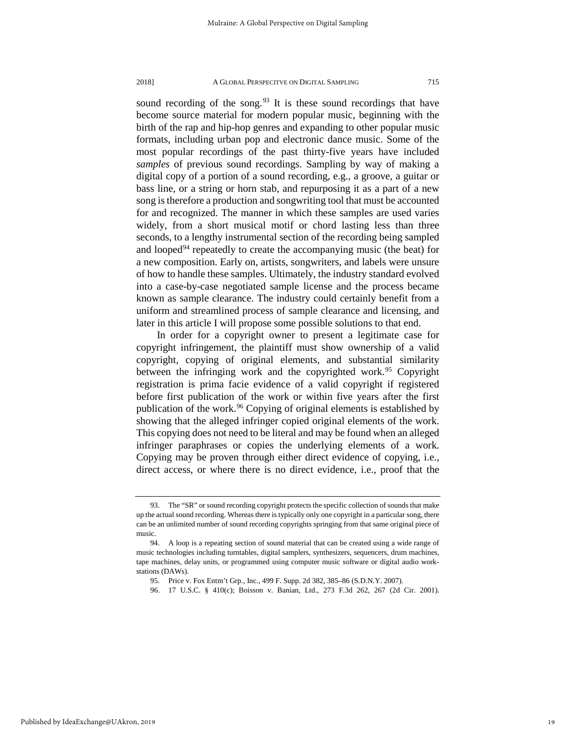sound recording of the song.<sup>[93](#page-19-0)</sup> It is these sound recordings that have become source material for modern popular music, beginning with the birth of the rap and hip-hop genres and expanding to other popular music formats, including urban pop and electronic dance music. Some of the most popular recordings of the past thirty-five years have included *samples* of previous sound recordings. Sampling by way of making a digital copy of a portion of a sound recording, e.g., a groove, a guitar or bass line, or a string or horn stab, and repurposing it as a part of a new song is therefore a production and songwriting tool that must be accounted for and recognized. The manner in which these samples are used varies widely, from a short musical motif or chord lasting less than three seconds, to a lengthy instrumental section of the recording being sampled and looped $94$  repeatedly to create the accompanying music (the beat) for a new composition. Early on, artists, songwriters, and labels were unsure of how to handle these samples. Ultimately, the industry standard evolved into a case-by-case negotiated sample license and the process became

uniform and streamlined process of sample clearance and licensing, and later in this article I will propose some possible solutions to that end. In order for a copyright owner to present a legitimate case for copyright infringement, the plaintiff must show ownership of a valid copyright, copying of original elements, and substantial similarity between the infringing work and the copyrighted work.<sup>95</sup> Copyright registration is prima facie evidence of a valid copyright if registered before first publication of the work or within five years after the first publication of the work.<sup>96</sup> Copying of original elements is established by showing that the alleged infringer copied original elements of the work. This copying does not need to be literal and may be found when an alleged infringer paraphrases or copies the underlying elements of a work. Copying may be proven through either direct evidence of copying, i.e., direct access, or where there is no direct evidence, i.e., proof that the

known as sample clearance. The industry could certainly benefit from a

96. 17 U.S.C. § 410(c); Boisson v. Banian, Ltd., 273 F.3d 262, 267 (2d Cir. 2001).

<span id="page-19-0"></span><sup>93.</sup> The "SR" or sound recording copyright protects the specific collection of sounds that make up the actual sound recording. Whereas there is typically only one copyright in a particular song, there can be an unlimited number of sound recording copyrights springing from that same original piece of music.

<span id="page-19-3"></span><span id="page-19-2"></span><span id="page-19-1"></span><sup>94.</sup> A loop is a repeating section of sound material that can be created using a wide range of music technologies including turntables, digital samplers, synthesizers, sequencers, drum machines, tape machines, delay units, or programmed using computer music software or digital audio workstations (DAWs).

<sup>95.</sup> Price v. Fox Entm't Grp., Inc., 499 F. Supp. 2d 382, 385–86 (S.D.N.Y. 2007).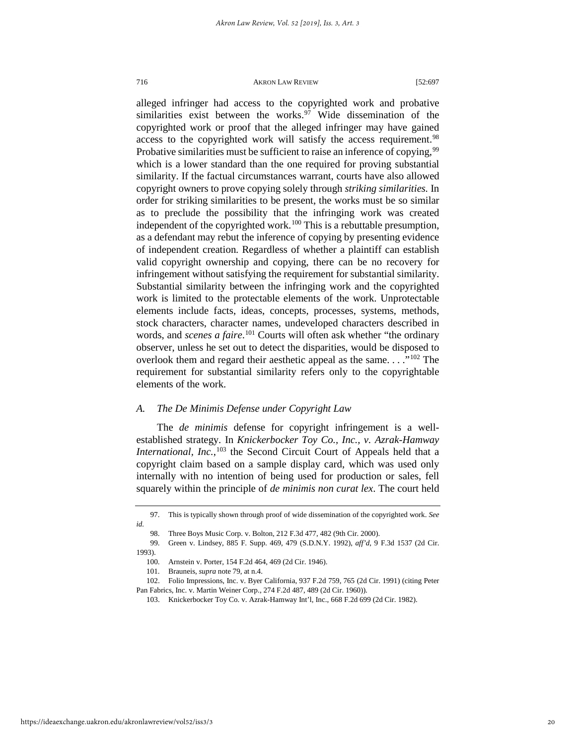alleged infringer had access to the copyrighted work and probative similarities exist between the works. $97$  Wide dissemination of the copyrighted work or proof that the alleged infringer may have gained access to the copyrighted work will satisfy the access requirement.<sup>[98](#page-20-1)</sup> Probative similarities must be sufficient to raise an inference of copying,<sup>[99](#page-20-2)</sup> which is a lower standard than the one required for proving substantial similarity. If the factual circumstances warrant, courts have also allowed copyright owners to prove copying solely through *striking similarities.* In order for striking similarities to be present, the works must be so similar as to preclude the possibility that the infringing work was created independent of the copyrighted work.<sup>[100](#page-20-3)</sup> This is a rebuttable presumption, as a defendant may rebut the inference of copying by presenting evidence of independent creation. Regardless of whether a plaintiff can establish valid copyright ownership and copying, there can be no recovery for infringement without satisfying the requirement for substantial similarity. Substantial similarity between the infringing work and the copyrighted work is limited to the protectable elements of the work. Unprotectable elements include facts, ideas, concepts, processes, systems, methods, stock characters, character names, undeveloped characters described in words, and *scenes a faire*. [101](#page-20-4) Courts will often ask whether "the ordinary observer, unless he set out to detect the disparities, would be disposed to overlook them and regard their aesthetic appeal as the same. . . ."[102](#page-20-5) The requirement for substantial similarity refers only to the copyrightable elements of the work.

#### *A. The De Minimis Defense under Copyright Law*

The *de minimis* defense for copyright infringement is a wellestablished strategy. In *Knickerbocker Toy Co., Inc., v. Azrak-Hamway International, Inc.*,<sup>[103](#page-20-6)</sup> the Second Circuit Court of Appeals held that a copyright claim based on a sample display card, which was used only internally with no intention of being used for production or sales, fell squarely within the principle of *de minimis non curat lex*. The court held

<span id="page-20-6"></span>https://ideaexchange.uakron.edu/akronlawreview/vol52/iss3/3

<span id="page-20-1"></span><span id="page-20-0"></span><sup>97.</sup> This is typically shown through proof of wide dissemination of the copyrighted work. *See id.*

<sup>98.</sup> Three Boys Music Corp. v. Bolton, 212 F.3d 477, 482 (9th Cir. 2000).

<span id="page-20-3"></span><span id="page-20-2"></span><sup>99.</sup> Green v. Lindsey, 885 F. Supp. 469, 479 (S.D.N.Y. 1992), *aff'd*, 9 F.3d 1537 (2d Cir. 1993).

<sup>100.</sup> Arnstein v. Porter, 154 F.2d 464, 469 (2d Cir. 1946).

<sup>101.</sup> Brauneis, *supra* note 79, at n.4.

<span id="page-20-5"></span><span id="page-20-4"></span><sup>102.</sup> Folio Impressions, Inc. v. Byer California, 937 F.2d 759, 765 (2d Cir. 1991) (citing Peter Pan Fabrics, Inc. v. Martin Weiner Corp., 274 F.2d 487, 489 (2d Cir. 1960)).

<sup>103.</sup> Knickerbocker Toy Co. v. Azrak-Hamway Int'l, Inc., 668 F.2d 699 (2d Cir. 1982).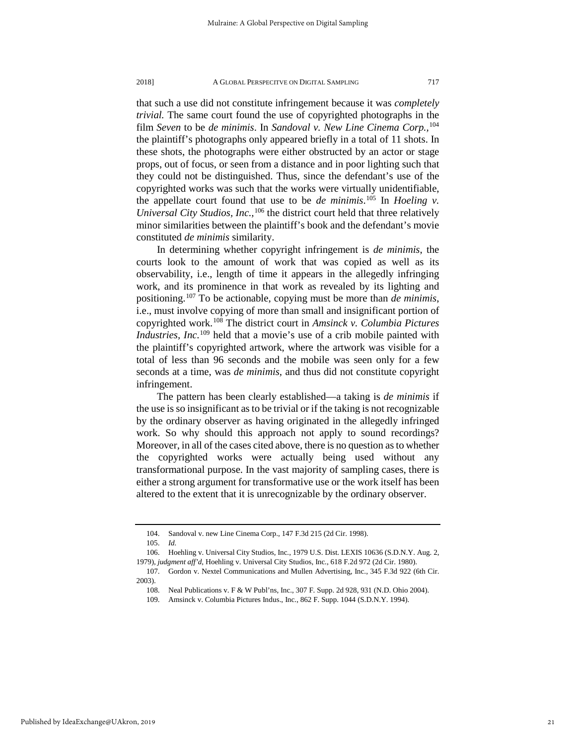that such a use did not constitute infringement because it was *completely trivial.* The same court found the use of copyrighted photographs in the film *Seven* to be *de minimis*. In *Sandoval v. New Line Cinema Corp.,*[104](#page-21-0) the plaintiff's photographs only appeared briefly in a total of 11 shots. In these shots, the photographs were either obstructed by an actor or stage props, out of focus, or seen from a distance and in poor lighting such that they could not be distinguished. Thus, since the defendant's use of the copyrighted works was such that the works were virtually unidentifiable, the appellate court found that use to be *de minimis*. [105](#page-21-1) In *Hoeling v. Universal City Studios, Inc.,*[106](#page-21-2) the district court held that three relatively minor similarities between the plaintiff's book and the defendant's movie constituted *de minimis* similarity.

In determining whether copyright infringement is *de minimis*, the courts look to the amount of work that was copied as well as its observability, i.e., length of time it appears in the allegedly infringing work, and its prominence in that work as revealed by its lighting and positioning.[107](#page-21-3) To be actionable, copying must be more than *de minimis*, i.e., must involve copying of more than small and insignificant portion of copyrighted work.[108](#page-21-4) The district court in *Amsinck v. Columbia Pictures Industries, Inc.*<sup>[109](#page-21-5)</sup> held that a movie's use of a crib mobile painted with the plaintiff's copyrighted artwork, where the artwork was visible for a total of less than 96 seconds and the mobile was seen only for a few seconds at a time, was *de minimis,* and thus did not constitute copyright infringement.

The pattern has been clearly established—a taking is *de minimis* if the use is so insignificant as to be trivial or if the taking is not recognizable by the ordinary observer as having originated in the allegedly infringed work. So why should this approach not apply to sound recordings? Moreover, in all of the cases cited above, there is no question as to whether the copyrighted works were actually being used without any transformational purpose. In the vast majority of sampling cases, there is either a strong argument for transformative use or the work itself has been altered to the extent that it is unrecognizable by the ordinary observer.

<sup>104.</sup> Sandoval v. new Line Cinema Corp., 147 F.3d 215 (2d Cir. 1998).

<sup>105.</sup> *Id.*

<span id="page-21-2"></span><span id="page-21-1"></span><span id="page-21-0"></span><sup>106.</sup> Hoehling v. Universal City Studios, Inc*.*, 1979 U.S. Dist. LEXIS 10636 (S.D.N.Y. Aug. 2, 1979), *judgment aff'd*, Hoehling v. Universal City Studios, Inc*.*, 618 F.2d 972 (2d Cir. 1980).

<span id="page-21-5"></span><span id="page-21-4"></span><span id="page-21-3"></span><sup>107.</sup> Gordon v. Nextel Communications and Mullen Advertising, Inc., 345 F.3d 922 (6th Cir. 2003).

<sup>108.</sup> Neal Publications v. F & W Publ'ns, Inc., 307 F. Supp. 2d 928, 931 (N.D. Ohio 2004).

<sup>109.</sup> Amsinck v. Columbia Pictures Indus., Inc., 862 F. Supp. 1044 (S.D.N.Y. 1994).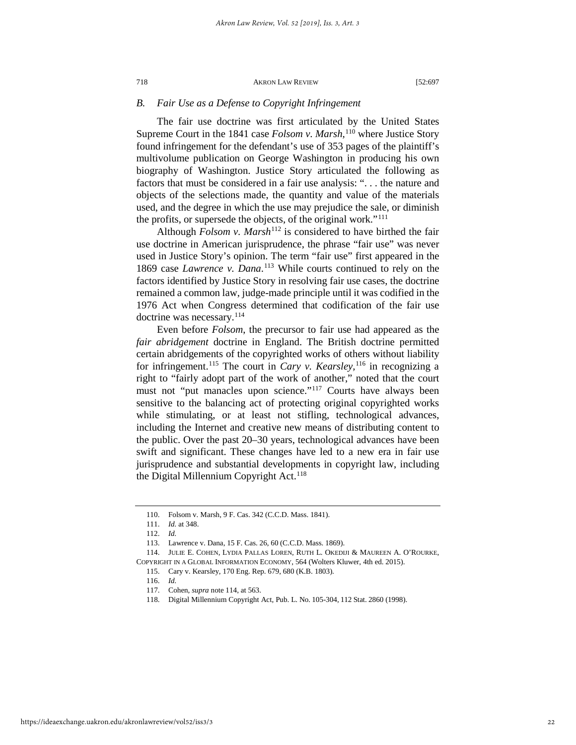#### *B. Fair Use as a Defense to Copyright Infringement*

The fair use doctrine was first articulated by the United States Supreme Court in the 1841 case *Folsom v. Marsh,*[110](#page-22-0) where Justice Story found infringement for the defendant's use of 353 pages of the plaintiff's multivolume publication on George Washington in producing his own biography of Washington. Justice Story articulated the following as factors that must be considered in a fair use analysis: ". . . the nature and objects of the selections made, the quantity and value of the materials used, and the degree in which the use may prejudice the sale, or diminish the profits, or supersede the objects, of the original work."[111](#page-22-1)

Although *Folsom v. Marsh*<sup>[112](#page-22-2)</sup> is considered to have birthed the fair use doctrine in American jurisprudence, the phrase "fair use" was never used in Justice Story's opinion. The term "fair use" first appeared in the 1869 case *Lawrence v. Dana*. [113](#page-22-3) While courts continued to rely on the factors identified by Justice Story in resolving fair use cases, the doctrine remained a common law, judge-made principle until it was codified in the 1976 Act when Congress determined that codification of the fair use doctrine was necessary.<sup>[114](#page-22-4)</sup>

Even before *Folsom*, the precursor to fair use had appeared as the *fair abridgement* doctrine in England. The British doctrine permitted certain abridgements of the copyrighted works of others without liability for infringement.[115](#page-22-5) The court in *Cary v. Kearsley,*[116](#page-22-6) in recognizing a right to "fairly adopt part of the work of another," noted that the court must not "put manacles upon science."<sup>[117](#page-22-7)</sup> Courts have always been sensitive to the balancing act of protecting original copyrighted works while stimulating, or at least not stifling, technological advances, including the Internet and creative new means of distributing content to the public. Over the past 20–30 years, technological advances have been swift and significant. These changes have led to a new era in fair use jurisprudence and substantial developments in copyright law, including the Digital Millennium Copyright Act.<sup>[118](#page-22-8)</sup>

<sup>110.</sup> Folsom v. Marsh, 9 F. Cas. 342 (C.C.D. Mass. 1841).

<sup>111.</sup> *Id.* at 348.

<sup>112.</sup> *Id.*

<sup>113.</sup> Lawrence v. Dana, 15 F. Cas. 26, 60 (C.C.D. Mass. 1869).

<span id="page-22-8"></span><span id="page-22-7"></span><span id="page-22-6"></span><span id="page-22-5"></span><span id="page-22-4"></span><span id="page-22-3"></span><span id="page-22-2"></span><span id="page-22-1"></span><span id="page-22-0"></span><sup>114.</sup> JULIE E. COHEN, LYDIA PALLAS LOREN, RUTH L. OKEDIJI & MAUREEN A. O'ROURKE, COPYRIGHT IN A GLOBAL INFORMATION ECONOMY, 564 (Wolters Kluwer, 4th ed. 2015).

<sup>115.</sup> Cary v. Kearsley, 170 Eng. Rep. 679, 680 (K.B. 1803).

<sup>116.</sup> *Id.*

<sup>117.</sup> Cohen, *supra* note 114, at 563.

<sup>118.</sup> Digital Millennium Copyright Act, Pub. L. No. 105-304, 112 Stat. 2860 (1998).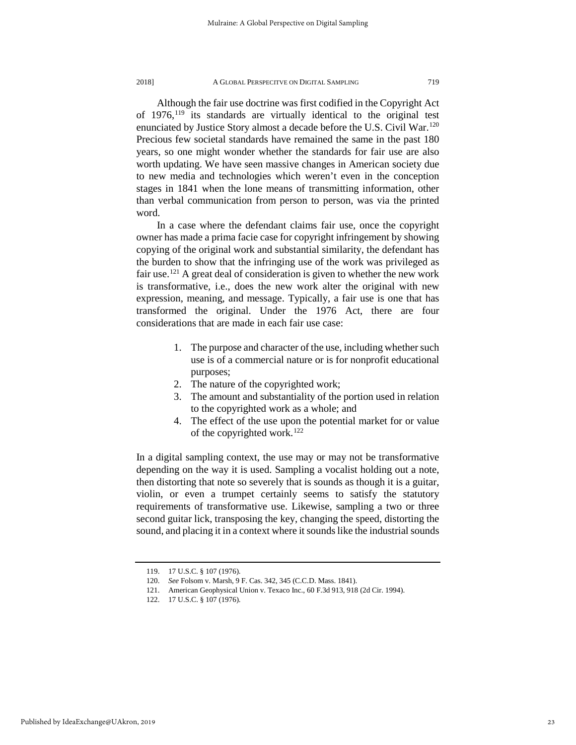Although the fair use doctrine was first codified in the Copyright Act of  $1976$ ,<sup>[119](#page-23-0)</sup> its standards are virtually identical to the original test enunciated by Justice Story almost a decade before the U.S. Civil War.<sup>120</sup> Precious few societal standards have remained the same in the past 180 years, so one might wonder whether the standards for fair use are also worth updating. We have seen massive changes in American society due to new media and technologies which weren't even in the conception stages in 1841 when the lone means of transmitting information, other than verbal communication from person to person, was via the printed word.

In a case where the defendant claims fair use, once the copyright owner has made a prima facie case for copyright infringement by showing copying of the original work and substantial similarity, the defendant has the burden to show that the infringing use of the work was privileged as fair use.<sup>[121](#page-23-2)</sup> A great deal of consideration is given to whether the new work is transformative, i.e., does the new work alter the original with new expression, meaning, and message. Typically, a fair use is one that has transformed the original. Under the 1976 Act, there are four considerations that are made in each fair use case:

- 1. The purpose and character of the use, including whether such use is of a commercial nature or is for nonprofit educational purposes;
- 2. The nature of the copyrighted work;
- 3. The amount and substantiality of the portion used in relation to the copyrighted work as a whole; and
- 4. The effect of the use upon the potential market for or value of the copyrighted work.<sup>[122](#page-23-3)</sup>

In a digital sampling context, the use may or may not be transformative depending on the way it is used. Sampling a vocalist holding out a note, then distorting that note so severely that is sounds as though it is a guitar, violin, or even a trumpet certainly seems to satisfy the statutory requirements of transformative use. Likewise, sampling a two or three second guitar lick, transposing the key, changing the speed, distorting the sound, and placing it in a context where it sounds like the industrial sounds

<span id="page-23-0"></span><sup>119. 17</sup> U.S.C. § 107 (1976).

<span id="page-23-1"></span><sup>120.</sup> *See* Folsom v. Marsh, 9 F. Cas. 342, 345 (C.C.D. Mass. 1841).

<sup>121.</sup> American Geophysical Union v. Texaco Inc., 60 F.3d 913, 918 (2d Cir. 1994).

<span id="page-23-3"></span><span id="page-23-2"></span><sup>122. 17</sup> U.S.C. § 107 (1976).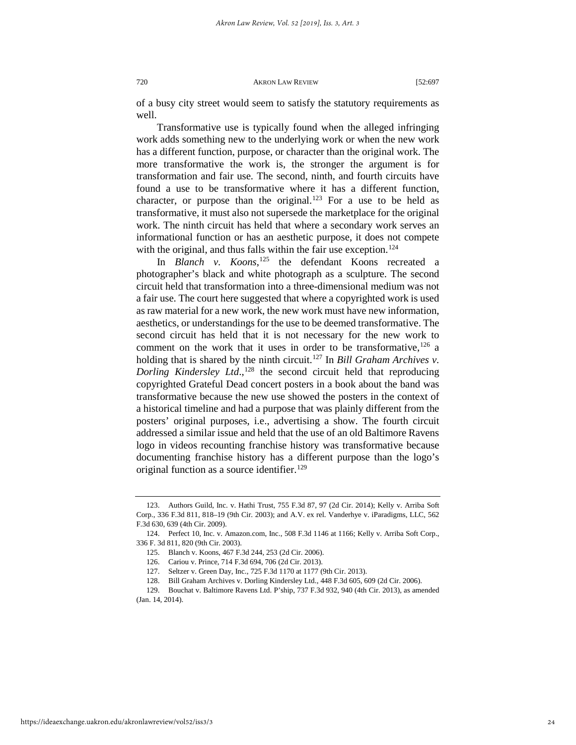of a busy city street would seem to satisfy the statutory requirements as well.

Transformative use is typically found when the alleged infringing work adds something new to the underlying work or when the new work has a different function, purpose, or character than the original work. The more transformative the work is, the stronger the argument is for transformation and fair use. The second, ninth, and fourth circuits have found a use to be transformative where it has a different function, character, or purpose than the original.<sup>[123](#page-24-0)</sup> For a use to be held as transformative, it must also not supersede the marketplace for the original work. The ninth circuit has held that where a secondary work serves an informational function or has an aesthetic purpose, it does not compete with the original, and thus falls within the fair use exception.<sup>[124](#page-24-1)</sup>

In *Blanch v. Koons*, [125](#page-24-2) the defendant Koons recreated a photographer's black and white photograph as a sculpture. The second circuit held that transformation into a three-dimensional medium was not a fair use. The court here suggested that where a copyrighted work is used as raw material for a new work, the new work must have new information, aesthetics, or understandings for the use to be deemed transformative. The second circuit has held that it is not necessary for the new work to comment on the work that it uses in order to be transformative,  $126$  a holding that is shared by the ninth circuit.<sup>127</sup> In *Bill Graham Archives v*. *Dorling Kindersley Ltd.*,<sup>[128](#page-24-5)</sup> the second circuit held that reproducing copyrighted Grateful Dead concert posters in a book about the band was transformative because the new use showed the posters in the context of a historical timeline and had a purpose that was plainly different from the posters' original purposes, i.e., advertising a show. The fourth circuit addressed a similar issue and held that the use of an old Baltimore Ravens logo in videos recounting franchise history was transformative because documenting franchise history has a different purpose than the logo's original function as a source identifier.<sup>[129](#page-24-6)</sup>

<span id="page-24-0"></span><sup>123.</sup> Authors Guild, Inc. v. Hathi Trust, 755 F.3d 87, 97 (2d Cir. 2014); Kelly v. Arriba Soft Corp., 336 F.3d 811, 818–19 (9th Cir. 2003); and A.V. ex rel. Vanderhye v. iParadigms*,* LLC, 562 F.3d 630, 639 (4th Cir. 2009).

<span id="page-24-2"></span><span id="page-24-1"></span><sup>124.</sup> Perfect 10, Inc. v. Amazon.com, Inc., 508 F.3d 1146 at 1166; Kelly v. Arriba Soft Corp., 336 F. 3d 811, 820 (9th Cir. 2003).

<sup>125.</sup> Blanch v. Koons, 467 F.3d 244, 253 (2d Cir. 2006).

<sup>126.</sup> Cariou v. Prince, 714 F.3d 694, 706 (2d Cir. 2013).

<sup>127.</sup> Seltzer v. Green Day, Inc., 725 F.3d 1170 at 1177 (9th Cir. 2013).

<sup>128.</sup> Bill Graham Archives v. Dorling Kindersley Ltd., 448 F.3d 605, 609 (2d Cir. 2006).

<span id="page-24-6"></span><span id="page-24-5"></span><span id="page-24-4"></span><span id="page-24-3"></span><sup>129.</sup> Bouchat v. Baltimore Ravens Ltd. P'ship, 737 F.3d 932, 940 (4th Cir. 2013), as amended (Jan. 14, 2014).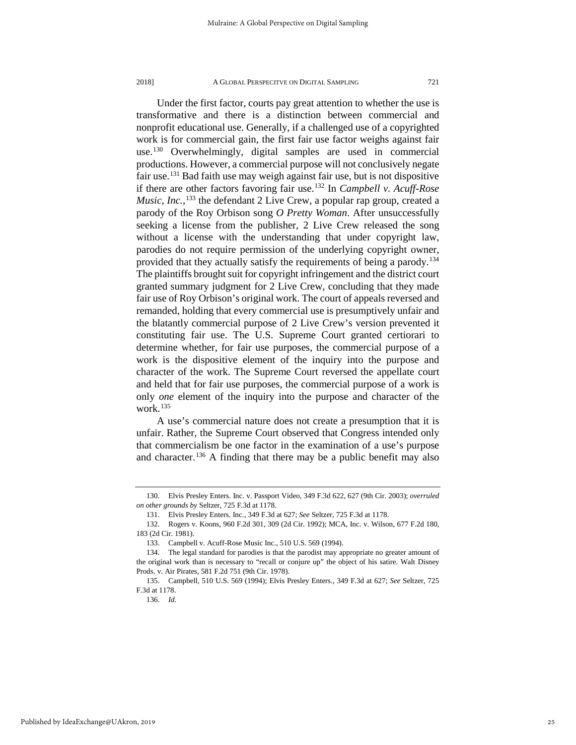Under the first factor, courts pay great attention to whether the use is transformative and there is a distinction between commercial and nonprofit educational use. Generally, if a challenged use of a copyrighted work is for commercial gain, the first fair use factor weighs against fair use.<sup>[130](#page-25-0)</sup> Overwhelmingly, digital samples are used in commercial productions. However, a commercial purpose will not conclusively negate fair use.[131](#page-25-1) Bad faith use may weigh against fair use, but is not dispositive if there are other factors favoring fair use.[132](#page-25-2) In *Campbell v. Acuff-Rose Music, Inc.*,<sup>[133](#page-25-3)</sup> the defendant 2 Live Crew, a popular rap group, created a parody of the Roy Orbison song *O Pretty Woman*. After unsuccessfully seeking a license from the publisher, 2 Live Crew released the song without a license with the understanding that under copyright law, parodies do not require permission of the underlying copyright owner, provided that they actually satisfy the requirements of being a parody.<sup>134</sup> The plaintiffs brought suit for copyright infringement and the district court granted summary judgment for 2 Live Crew, concluding that they made fair use of Roy Orbison's original work. The court of appeals reversed and remanded, holding that every commercial use is presumptively unfair and the blatantly commercial purpose of 2 Live Crew's version prevented it constituting fair use. The U.S. Supreme Court granted certiorari to determine whether, for fair use purposes, the commercial purpose of a work is the dispositive element of the inquiry into the purpose and character of the work. The Supreme Court reversed the appellate court and held that for fair use purposes, the commercial purpose of a work is only *one* element of the inquiry into the purpose and character of the work.[135](#page-25-5)

A use's commercial nature does not create a presumption that it is unfair. Rather, the Supreme Court observed that Congress intended only that commercialism be one factor in the examination of a use's purpose and character.<sup>[136](#page-25-6)</sup> A finding that there may be a public benefit may also

<span id="page-25-0"></span><sup>130.</sup> Elvis Presley Enters. Inc. v. Passport Video, 349 F.3d 622, 627 (9th Cir. 2003); *overruled on other grounds by* Seltzer, 725 F.3d at 1178.

<sup>131.</sup> Elvis Presley Enters. Inc., 349 F.3d at 627; *See* Seltzer, 725 F.3d at 1178.

<span id="page-25-2"></span><span id="page-25-1"></span><sup>132.</sup> Rogers v. Koons, 960 F.2d 301, 309 (2d Cir. 1992); MCA, Inc. v. Wilson, 677 F.2d 180, 183 (2d Cir. 1981).

<sup>133.</sup> Campbell v. Acuff-Rose Music Inc., 510 U.S. 569 (1994).

<span id="page-25-4"></span><span id="page-25-3"></span><sup>134.</sup> The legal standard for parodies is that the parodist may appropriate no greater amount of the original work than is necessary to "recall or conjure up" the object of his satire. Walt Disney Prods. v. Air Pirates, 581 F.2d 751 (9th Cir. 1978).

<span id="page-25-6"></span><span id="page-25-5"></span><sup>135.</sup> Campbell, 510 U.S. 569 (1994); Elvis Presley Enters., 349 F.3d at 627; *See* Seltzer, 725 F.3d at 1178.

<sup>136.</sup> *Id.*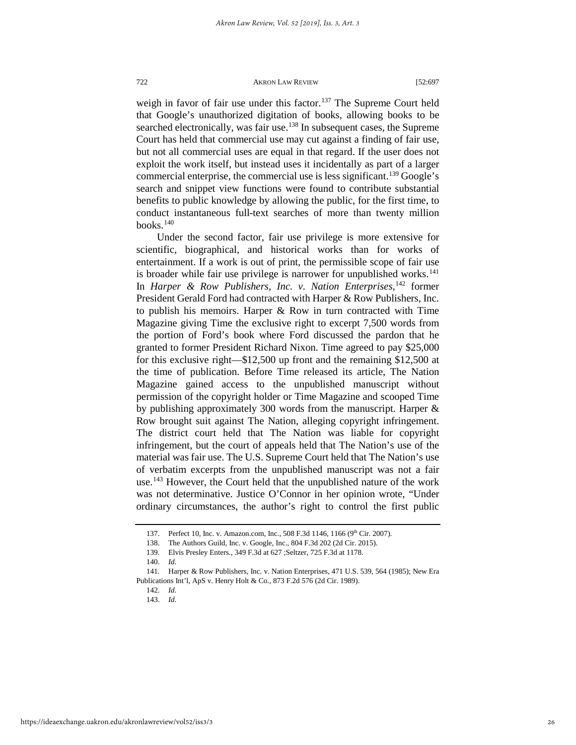weigh in favor of fair use under this factor.<sup>[137](#page-26-0)</sup> The Supreme Court held that Google's unauthorized digitation of books, allowing books to be searched electronically, was fair use.<sup>[138](#page-26-1)</sup> In subsequent cases, the Supreme Court has held that commercial use may cut against a finding of fair use, but not all commercial uses are equal in that regard. If the user does not exploit the work itself, but instead uses it incidentally as part of a larger commercial enterprise, the commercial use is less significant.<sup>[139](#page-26-2)</sup> Google's search and snippet view functions were found to contribute substantial benefits to public knowledge by allowing the public, for the first time, to conduct instantaneous full-text searches of more than twenty million books. $140$ 

Under the second factor, fair use privilege is more extensive for scientific, biographical, and historical works than for works of entertainment. If a work is out of print, the permissible scope of fair use is broader while fair use privilege is narrower for unpublished works.<sup>[141](#page-26-4)</sup> In *Harper & Row Publishers, Inc. v. Nation Enterprises*, [142](#page-26-5) former President Gerald Ford had contracted with Harper & Row Publishers, Inc. to publish his memoirs. Harper & Row in turn contracted with Time Magazine giving Time the exclusive right to excerpt 7,500 words from the portion of Ford's book where Ford discussed the pardon that he granted to former President Richard Nixon. Time agreed to pay \$25,000 for this exclusive right—\$12,500 up front and the remaining \$12,500 at the time of publication. Before Time released its article, The Nation Magazine gained access to the unpublished manuscript without permission of the copyright holder or Time Magazine and scooped Time by publishing approximately 300 words from the manuscript. Harper & Row brought suit against The Nation, alleging copyright infringement. The district court held that The Nation was liable for copyright infringement, but the court of appeals held that The Nation's use of the material was fair use. The U.S. Supreme Court held that The Nation's use of verbatim excerpts from the unpublished manuscript was not a fair use.<sup>[143](#page-26-6)</sup> However, the Court held that the unpublished nature of the work was not determinative. Justice O'Connor in her opinion wrote, "Under ordinary circumstances, the author's right to control the first public

<sup>137.</sup> Perfect 10, Inc. v. Amazon.com, Inc., 508 F.3d 1146, 1166 (9th Cir. 2007).

<sup>138.</sup> The Authors Guild, Inc. v. Google, Inc., 804 F.3d 202 (2d Cir. 2015).

<sup>139.</sup> Elvis Presley Enters., 349 F.3d at 627 ;Seltzer, 725 F.3d at 1178.

<sup>140.</sup> *Id.*

<span id="page-26-6"></span><span id="page-26-5"></span><span id="page-26-4"></span><span id="page-26-3"></span><span id="page-26-2"></span><span id="page-26-1"></span><span id="page-26-0"></span><sup>141</sup>*.* Harper & Row Publishers, Inc. v. Nation Enterprises, 471 U.S. 539, 564 (1985); New Era Publications Int'l, ApS v. Henry Holt & Co., 873 F.2d 576 (2d Cir. 1989).

<sup>142.</sup> *Id.*

<sup>143.</sup> *Id.*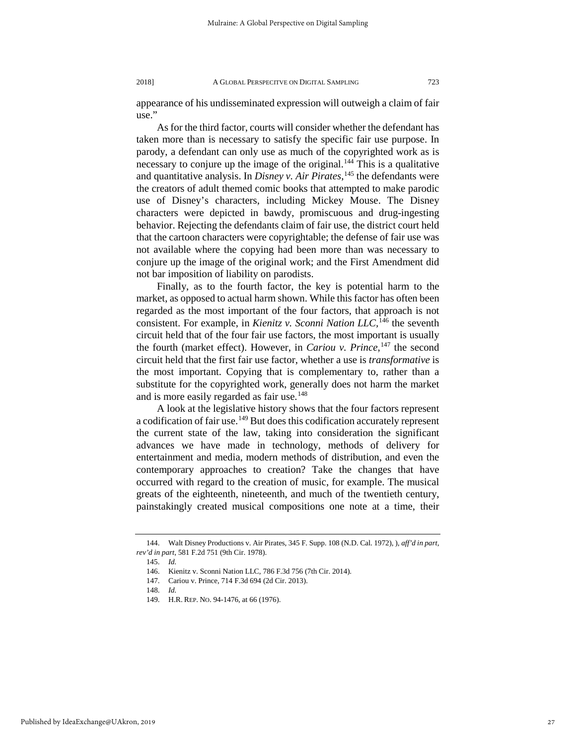appearance of his undisseminated expression will outweigh a claim of fair use."

As for the third factor, courts will consider whether the defendant has taken more than is necessary to satisfy the specific fair use purpose. In parody, a defendant can only use as much of the copyrighted work as is necessary to conjure up the image of the original. $144$  This is a qualitative and quantitative analysis. In *Disney v. Air Pirates*, [145](#page-27-1) the defendants were the creators of adult themed comic books that attempted to make parodic use of Disney's characters, including Mickey Mouse. The Disney characters were depicted in bawdy, promiscuous and drug-ingesting behavior. Rejecting the defendants claim of fair use, the district court held that the cartoon characters were copyrightable; the defense of fair use was not available where the copying had been more than was necessary to conjure up the image of the original work; and the First Amendment did not bar imposition of liability on parodists.

Finally, as to the fourth factor, the key is potential harm to the market, as opposed to actual harm shown. While this factor has often been regarded as the most important of the four factors, that approach is not consistent. For example, in *Kienitz v. Sconni Nation LLC,*[146](#page-27-2) the seventh circuit held that of the four fair use factors, the most important is usually the fourth (market effect). However, in *Cariou v. Prince*, [147](#page-27-3) the second circuit held that the first fair use factor, whether a use is *transformative* is the most important. Copying that is complementary to, rather than a substitute for the copyrighted work, generally does not harm the market and is more easily regarded as fair use.<sup>[148](#page-27-4)</sup>

A look at the legislative history shows that the four factors represent a codification of fair use.<sup>149</sup> But does this codification accurately represent the current state of the law, taking into consideration the significant advances we have made in technology, methods of delivery for entertainment and media, modern methods of distribution, and even the contemporary approaches to creation? Take the changes that have occurred with regard to the creation of music, for example. The musical greats of the eighteenth, nineteenth, and much of the twentieth century, painstakingly created musical compositions one note at a time, their

<span id="page-27-4"></span><span id="page-27-3"></span><span id="page-27-2"></span><span id="page-27-1"></span><span id="page-27-0"></span><sup>144.</sup> Walt Disney Productions v. Air Pirates, 345 F. Supp. 108 (N.D. Cal. 1972), ), *aff'd in part, rev'd in part*, 581 F.2d 751 (9th Cir. 1978).

<sup>145.</sup> *Id.*

<sup>146.</sup> Kienitz v. Sconni Nation LLC, 786 F.3d 756 (7th Cir. 2014).

<sup>147.</sup> Cariou v. Prince, 714 F.3d 694 (2d Cir. 2013).

<span id="page-27-5"></span><sup>148.</sup> *Id.*

<sup>149.</sup> H.R. REP. NO. 94-1476, at 66 (1976).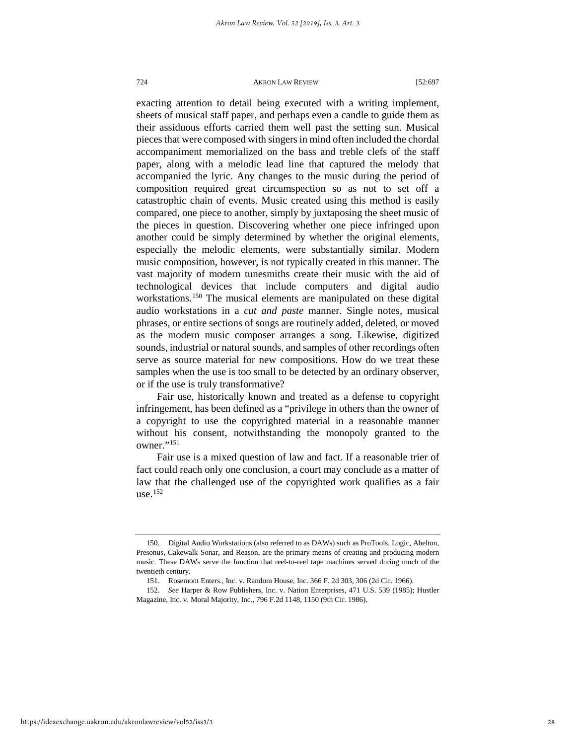exacting attention to detail being executed with a writing implement, sheets of musical staff paper, and perhaps even a candle to guide them as their assiduous efforts carried them well past the setting sun. Musical pieces that were composed with singers in mind often included the chordal accompaniment memorialized on the bass and treble clefs of the staff paper, along with a melodic lead line that captured the melody that accompanied the lyric. Any changes to the music during the period of composition required great circumspection so as not to set off a catastrophic chain of events. Music created using this method is easily compared, one piece to another, simply by juxtaposing the sheet music of the pieces in question. Discovering whether one piece infringed upon another could be simply determined by whether the original elements, especially the melodic elements, were substantially similar. Modern music composition, however, is not typically created in this manner. The vast majority of modern tunesmiths create their music with the aid of technological devices that include computers and digital audio workstations.<sup>[150](#page-28-0)</sup> The musical elements are manipulated on these digital audio workstations in a *cut and paste* manner. Single notes, musical phrases, or entire sections of songs are routinely added, deleted, or moved as the modern music composer arranges a song. Likewise, digitized sounds, industrial or natural sounds, and samples of other recordings often serve as source material for new compositions. How do we treat these samples when the use is too small to be detected by an ordinary observer, or if the use is truly transformative?

Fair use, historically known and treated as a defense to copyright infringement, has been defined as a "privilege in others than the owner of a copyright to use the copyrighted material in a reasonable manner without his consent, notwithstanding the monopoly granted to the owner."<sup>[151](#page-28-1)</sup>

Fair use is a mixed question of law and fact. If a reasonable trier of fact could reach only one conclusion, a court may conclude as a matter of law that the challenged use of the copyrighted work qualifies as a fair use. $152$ 

<span id="page-28-0"></span><sup>150.</sup> Digital Audio Workstations (also referred to as DAWs) such as ProTools, Logic, Abelton, Presonus, Cakewalk Sonar, and Reason, are the primary means of creating and producing modern music. These DAWs serve the function that reel-to-reel tape machines served during much of the twentieth century.

<sup>151.</sup> Rosemont Enters., Inc. v. Random House, Inc. 366 F. 2d 303, 306 (2d Cir. 1966).

<span id="page-28-2"></span><span id="page-28-1"></span><sup>152.</sup> *See* Harper & Row Publishers, Inc. v. Nation Enterprises, 471 U.S. 539 (1985); Hustler Magazine, Inc. v. Moral Majority, Inc., 796 F.2d 1148, 1150 (9th Cir. 1986).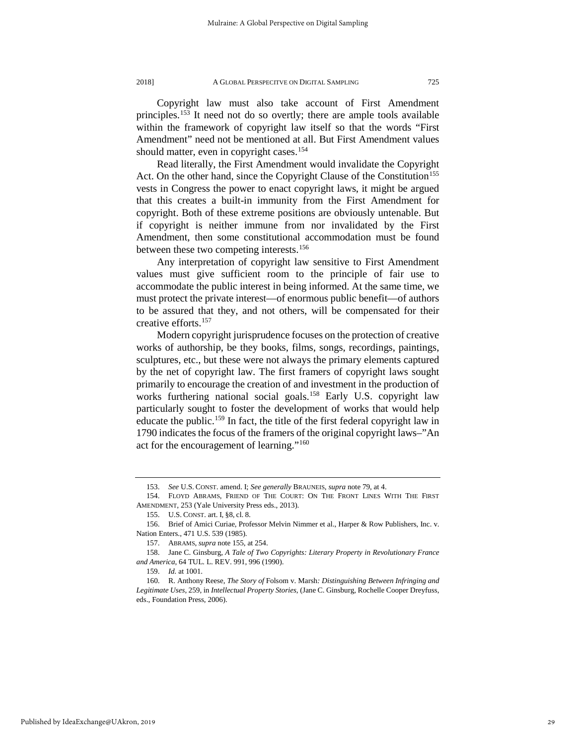Copyright law must also take account of First Amendment principles.[153](#page-29-0) It need not do so overtly; there are ample tools available within the framework of copyright law itself so that the words "First Amendment" need not be mentioned at all. But First Amendment values should matter, even in copyright cases.<sup>[154](#page-29-1)</sup>

Read literally, the First Amendment would invalidate the Copyright Act. On the other hand, since the Copyright Clause of the Constitution<sup>155</sup> vests in Congress the power to enact copyright laws, it might be argued that this creates a built-in immunity from the First Amendment for copyright. Both of these extreme positions are obviously untenable. But if copyright is neither immune from nor invalidated by the First Amendment, then some constitutional accommodation must be found between these two competing interests.<sup>[156](#page-29-3)</sup>

Any interpretation of copyright law sensitive to First Amendment values must give sufficient room to the principle of fair use to accommodate the public interest in being informed. At the same time, we must protect the private interest—of enormous public benefit—of authors to be assured that they, and not others, will be compensated for their creative efforts[.157](#page-29-4)

Modern copyright jurisprudence focuses on the protection of creative works of authorship, be they books, films, songs, recordings, paintings, sculptures, etc., but these were not always the primary elements captured by the net of copyright law. The first framers of copyright laws sought primarily to encourage the creation of and investment in the production of works furthering national social goals.<sup>[158](#page-29-5)</sup> Early U.S. copyright law particularly sought to foster the development of works that would help educate the public.<sup>159</sup> In fact, the title of the first federal copyright law in 1790 indicates the focus of the framers of the original copyright laws–"An act for the encouragement of learning."[160](#page-29-7)

<sup>153.</sup> *See* U.S. CONST. amend. I; *See generally* BRAUNEIS, *supra* note 79, at 4.

<span id="page-29-1"></span><span id="page-29-0"></span><sup>154.</sup> FLOYD ABRAMS, FRIEND OF THE COURT: ON THE FRONT LINES WITH THE FIRST AMENDMENT, 253 (Yale University Press eds., 2013).

<sup>155.</sup> U.S. CONST. art. I, §8, cl. 8.

<span id="page-29-3"></span><span id="page-29-2"></span><sup>156.</sup> Brief of Amici Curiae, Professor Melvin Nimmer et al., Harper & Row Publishers, Inc. v. Nation Enters., 471 U.S. 539 (1985).

<sup>157.</sup> ABRAMS, *supra* note 155, at 254.

<span id="page-29-5"></span><span id="page-29-4"></span><sup>158.</sup> Jane C. Ginsburg, *A Tale of Two Copyrights: Literary Property in Revolutionary France and America*, 64 TUL. L. REV. 991, 996 (1990).

<sup>159.</sup> *Id.* at 1001.

<span id="page-29-7"></span><span id="page-29-6"></span><sup>160.</sup> R. Anthony Reese, *The Story of* Folsom v. Marsh*: Distinguishing Between Infringing and Legitimate Uses*, 259, in *Intellectual Property Stories*, (Jane C. Ginsburg, Rochelle Cooper Dreyfuss, eds., Foundation Press, 2006).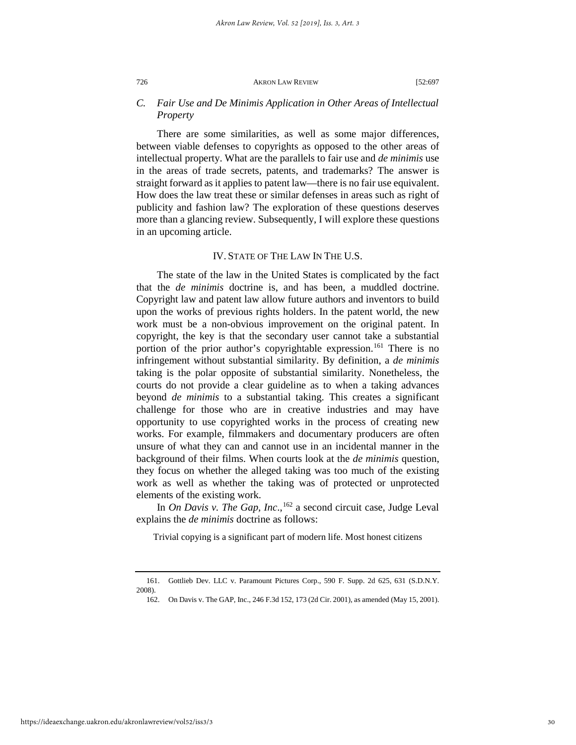#### *C. Fair Use and De Minimis Application in Other Areas of Intellectual Property*

There are some similarities, as well as some major differences, between viable defenses to copyrights as opposed to the other areas of intellectual property. What are the parallels to fair use and *de minimis* use in the areas of trade secrets, patents, and trademarks? The answer is straight forward as it applies to patent law—there is no fair use equivalent. How does the law treat these or similar defenses in areas such as right of publicity and fashion law? The exploration of these questions deserves more than a glancing review. Subsequently, I will explore these questions in an upcoming article.

#### IV. STATE OF THE LAW IN THE U.S.

The state of the law in the United States is complicated by the fact that the *de minimis* doctrine is, and has been, a muddled doctrine. Copyright law and patent law allow future authors and inventors to build upon the works of previous rights holders. In the patent world, the new work must be a non-obvious improvement on the original patent. In copyright, the key is that the secondary user cannot take a substantial portion of the prior author's copyrightable expression.<sup>[161](#page-30-0)</sup> There is no infringement without substantial similarity. By definition, a *de minimis* taking is the polar opposite of substantial similarity. Nonetheless, the courts do not provide a clear guideline as to when a taking advances beyond *de minimis* to a substantial taking. This creates a significant challenge for those who are in creative industries and may have opportunity to use copyrighted works in the process of creating new works. For example, filmmakers and documentary producers are often unsure of what they can and cannot use in an incidental manner in the background of their films. When courts look at the *de minimis* question, they focus on whether the alleged taking was too much of the existing work as well as whether the taking was of protected or unprotected elements of the existing work.

In *On Davis v. The Gap, Inc.*,<sup>[162](#page-30-1)</sup> a second circuit case, Judge Leval explains the *de minimis* doctrine as follows:

Trivial copying is a significant part of modern life. Most honest citizens

<span id="page-30-1"></span>https://ideaexchange.uakron.edu/akronlawreview/vol52/iss3/3

<span id="page-30-0"></span><sup>161.</sup> Gottlieb Dev. LLC v. Paramount Pictures Corp., 590 F. Supp. 2d 625, 631 (S.D.N.Y. 2008).

<sup>162.</sup> On Davis v. The GAP, Inc., 246 F.3d 152, 173 (2d Cir. 2001), as amended (May 15, 2001).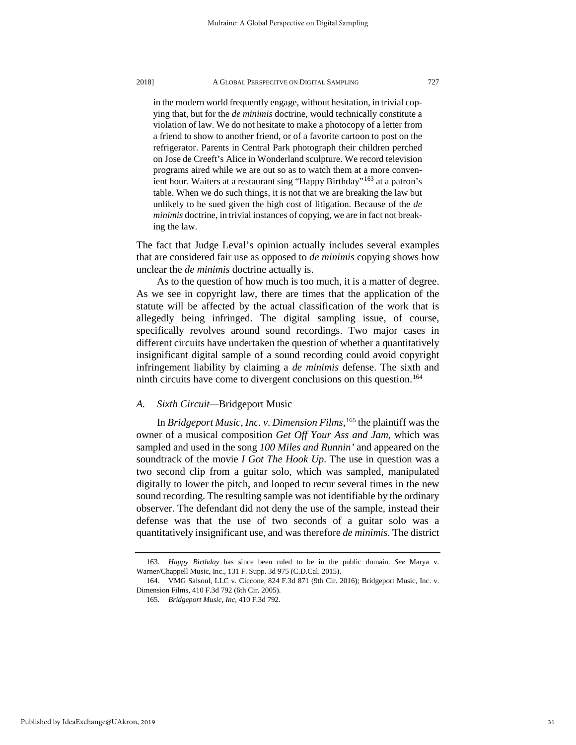in the modern world frequently engage, without hesitation, in trivial copying that, but for the *de minimis* doctrine, would technically constitute a violation of law. We do not hesitate to make a photocopy of a letter from a friend to show to another friend, or of a favorite cartoon to post on the refrigerator. Parents in Central Park photograph their children perched on Jose de Creeft's Alice in Wonderland sculpture. We record television programs aired while we are out so as to watch them at a more conven-ient hour. Waiters at a restaurant sing "Happy Birthday"<sup>[163](#page-31-0)</sup> at a patron's table. When we do such things, it is not that we are breaking the law but unlikely to be sued given the high cost of litigation. Because of the *de minimis* doctrine, in trivial instances of copying, we are in fact not breaking the law.

The fact that Judge Leval's opinion actually includes several examples that are considered fair use as opposed to *de minimis* copying shows how unclear the *de minimis* doctrine actually is.

As to the question of how much is too much, it is a matter of degree. As we see in copyright law, there are times that the application of the statute will be affected by the actual classification of the work that is allegedly being infringed. The digital sampling issue, of course, specifically revolves around sound recordings. Two major cases in different circuits have undertaken the question of whether a quantitatively insignificant digital sample of a sound recording could avoid copyright infringement liability by claiming a *de minimis* defense. The sixth and ninth circuits have come to divergent conclusions on this question.<sup>[164](#page-31-1)</sup>

#### *A. Sixth Circuit—*Bridgeport Music

In *Bridgeport Music, Inc. v. Dimension Films*, [165](#page-31-2) the plaintiff was the owner of a musical composition *Get Off Your Ass and Jam*, which was sampled and used in the song *100 Miles and Runnin'* and appeared on the soundtrack of the movie *I Got The Hook Up*. The use in question was a two second clip from a guitar solo, which was sampled, manipulated digitally to lower the pitch, and looped to recur several times in the new sound recording. The resulting sample was not identifiable by the ordinary observer. The defendant did not deny the use of the sample, instead their defense was that the use of two seconds of a guitar solo was a quantitatively insignificant use, and was therefore *de minimis*. The district

<span id="page-31-0"></span><sup>163.</sup> *Happy Birthday* has since been ruled to be in the public domain. *See* Marya v. Warner/Chappell Music, Inc., 131 F. Supp. 3d 975 (C.D.Cal. 2015).

<span id="page-31-2"></span><span id="page-31-1"></span><sup>164.</sup> VMG Salsoul, LLC v. Ciccone, 824 F.3d 871 (9th Cir. 2016); Bridgeport Music, Inc. v. Dimension Films, 410 F.3d 792 (6th Cir. 2005).

<sup>165</sup>*. Bridgeport Music, Inc*, 410 F.3d 792.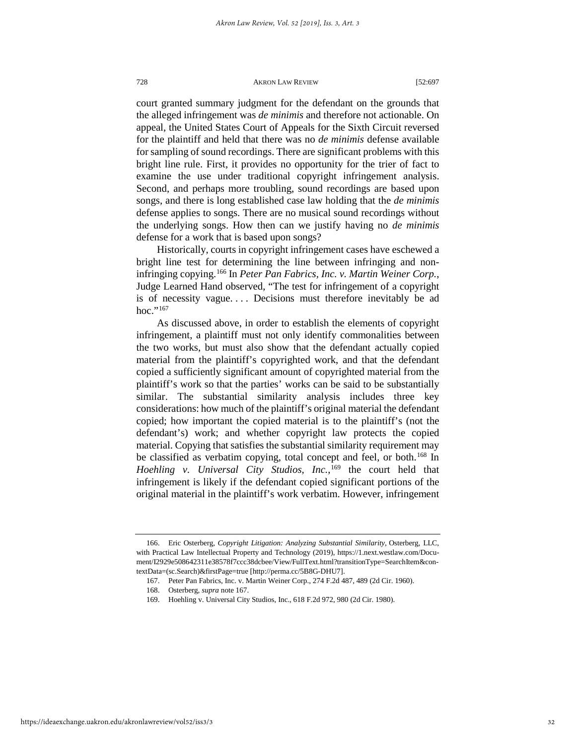court granted summary judgment for the defendant on the grounds that the alleged infringement was *de minimis* and therefore not actionable. On appeal, the United States Court of Appeals for the Sixth Circuit reversed for the plaintiff and held that there was no *de minimis* defense available for sampling of sound recordings. There are significant problems with this bright line rule. First, it provides no opportunity for the trier of fact to examine the use under traditional copyright infringement analysis. Second, and perhaps more troubling, sound recordings are based upon songs, and there is long established case law holding that the *de minimis* defense applies to songs. There are no musical sound recordings without the underlying songs. How then can we justify having no *de minimis* defense for a work that is based upon songs?

Historically, courts in copyright infringement cases have eschewed a bright line test for determining the line between infringing and noninfringing copying.[166](#page-32-0) In *Peter Pan Fabrics, Inc. v. Martin Weiner Corp.*, Judge Learned Hand observed, "The test for infringement of a copyright is of necessity vague. . . . Decisions must therefore inevitably be ad hoc."<sup>[167](#page-32-1)</sup>

As discussed above, in order to establish the elements of copyright infringement, a plaintiff must not only identify commonalities between the two works, but must also show that the defendant actually copied material from the plaintiff's copyrighted work, and that the defendant copied a sufficiently significant amount of copyrighted material from the plaintiff's work so that the parties' works can be said to be substantially similar. The substantial similarity analysis includes three key considerations: how much of the plaintiff's original material the defendant copied; how important the copied material is to the plaintiff's (not the defendant's) work; and whether copyright law protects the copied material. Copying that satisfies the substantial similarity requirement may be classified as verbatim copying, total concept and feel, or both.<sup>[168](#page-32-2)</sup> In *Hoehling v. Universal City Studios, Inc.*, [169](#page-32-3) the court held that infringement is likely if the defendant copied significant portions of the original material in the plaintiff's work verbatim. However, infringement

<span id="page-32-2"></span><span id="page-32-1"></span><span id="page-32-0"></span><sup>166.</sup> Eric Osterberg, *Copyright Litigation: Analyzing Substantial Similarity*, Osterberg, LLC, with Practical Law Intellectual Property and Technology (2019), https://1.next.westlaw.com/Document/I2929e508642311e38578f7ccc38dcbee/View/FullText.html?transitionType=SearchItem&contextData=(sc.Search)&firstPage=true [http://perma.cc/5B8G-DHU7].

<sup>167.</sup> Peter Pan Fabrics, Inc. v. Martin Weiner Corp., 274 F.2d 487, 489 (2d Cir. 1960).

<sup>168.</sup> Osterberg, *supra* note 167.

<span id="page-32-3"></span><sup>169.</sup> Hoehling v. Universal City Studios, Inc., 618 F.2d 972, 980 (2d Cir. 1980).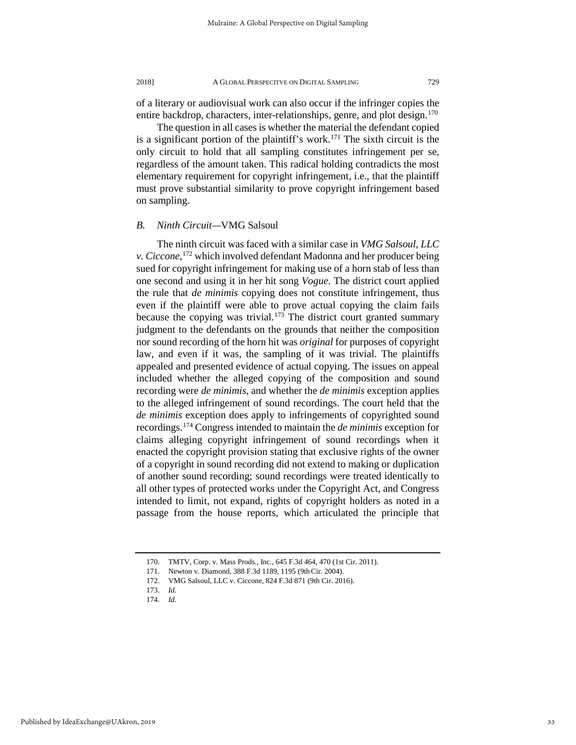of a literary or audiovisual work can also occur if the infringer copies the entire backdrop, characters, inter-relationships, genre, and plot design.<sup>[170](#page-33-0)</sup>

The question in all cases is whether the material the defendant copied is a significant portion of the plaintiff's work.[171](#page-33-1) The sixth circuit is the only circuit to hold that all sampling constitutes infringement per se, regardless of the amount taken. This radical holding contradicts the most elementary requirement for copyright infringement, i.e., that the plaintiff must prove substantial similarity to prove copyright infringement based on sampling.

#### *B. Ninth Circuit—*VMG Salsoul

The ninth circuit was faced with a similar case in *VMG Salsoul, LLC v. Ciccone*, [172](#page-33-2) which involved defendant Madonna and her producer being sued for copyright infringement for making use of a horn stab of less than one second and using it in her hit song *Vogue*. The district court applied the rule that *de minimis* copying does not constitute infringement, thus even if the plaintiff were able to prove actual copying the claim fails because the copying was trivial.<sup>[173](#page-33-3)</sup> The district court granted summary judgment to the defendants on the grounds that neither the composition nor sound recording of the horn hit was *original* for purposes of copyright law, and even if it was, the sampling of it was trivial. The plaintiffs appealed and presented evidence of actual copying. The issues on appeal included whether the alleged copying of the composition and sound recording were *de minimis*, and whether the *de minimis* exception applies to the alleged infringement of sound recordings. The court held that the *de minimis* exception does apply to infringements of copyrighted sound recordings.[174](#page-33-4) Congress intended to maintain the *de minimis* exception for claims alleging copyright infringement of sound recordings when it enacted the copyright provision stating that exclusive rights of the owner of a copyright in sound recording did not extend to making or duplication of another sound recording; sound recordings were treated identically to all other types of protected works under the Copyright Act, and Congress intended to limit, not expand, rights of copyright holders as noted in a passage from the house reports, which articulated the principle that

<span id="page-33-1"></span><span id="page-33-0"></span><sup>170.</sup> TMTV, Corp. v. Mass Prods., Inc., 645 F.3d 464, 470 (1st Cir. 2011).

<sup>171.</sup> Newton v. Diamond, 388 F.3d 1189, 1195 (9thCir. 2004).

<sup>172.</sup> VMG Salsoul, LLC v. Ciccone, 824 F.3d 871 (9th Cir. 2016).

<span id="page-33-4"></span><span id="page-33-3"></span><span id="page-33-2"></span><sup>173.</sup> *Id.*

<sup>174.</sup> *Id.*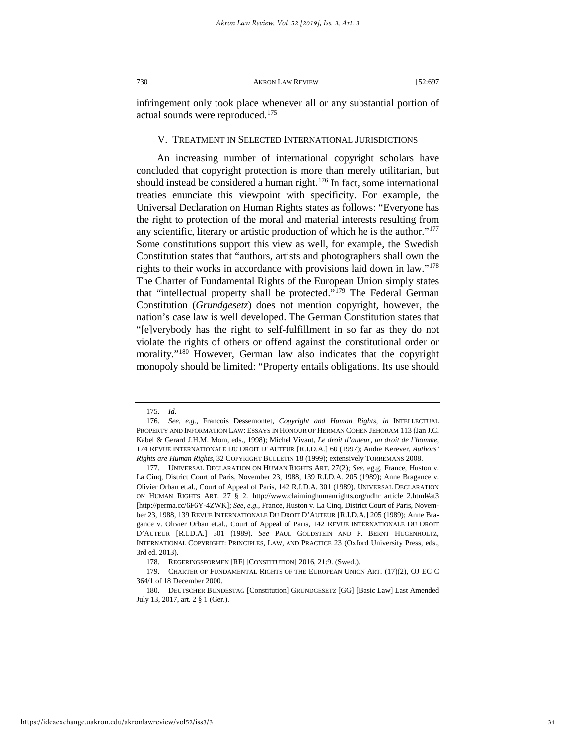infringement only took place whenever all or any substantial portion of actual sounds were reproduced.<sup>[175](#page-34-0)</sup>

#### V. TREATMENT IN SELECTED INTERNATIONAL JURISDICTIONS

An increasing number of international copyright scholars have concluded that copyright protection is more than merely utilitarian, but should instead be considered a human right.<sup>176</sup> In fact, some international treaties enunciate this viewpoint with specificity. For example, the Universal Declaration on Human Rights states as follows: "Everyone has the right to protection of the moral and material interests resulting from any scientific, literary or artistic production of which he is the author.["177](#page-34-2) Some constitutions support this view as well, for example, the Swedish Constitution states that "authors, artists and photographers shall own the rights to their works in accordance with provisions laid down in law.["178](#page-34-3) The Charter of Fundamental Rights of the European Union simply states that "intellectual property shall be protected."<sup>[179](#page-34-4)</sup> The Federal German Constitution (*Grundgesetz*) does not mention copyright, however, the nation's case law is well developed. The German Constitution states that "[e]verybody has the right to self-fulfillment in so far as they do not violate the rights of others or offend against the constitutional order or morality."[180](#page-34-5) However, German law also indicates that the copyright monopoly should be limited: "Property entails obligations. Its use should

<sup>175.</sup> *Id.*

<span id="page-34-1"></span><span id="page-34-0"></span><sup>176.</sup> *See, e.g.*, Francois Dessemontet, *Copyright and Human Rights, in* INTELLECTUAL PROPERTY AND INFORMATION LAW: ESSAYS IN HONOUR OF HERMAN COHEN JEHORAM 113 (Jan J.C. Kabel & Gerard J.H.M. Mom, eds., 1998); Michel Vivant, *Le droit d'auteur, un droit de l'homme*, 174 REVUE INTERNATIONALE DU DROIT D'AUTEUR [R.I.D.A.] 60 (1997); Andre Kerever, *Authors' Rights are Human Rights*, 32 COPYRIGHT BULLETIN 18 (1999); extensively TORREMANS 2008.

<span id="page-34-2"></span><sup>177.</sup> UNIVERSAL DECLARATION ON HUMAN RIGHTS ART. 27(2); *See*, eg.g, France, Huston v. La Cinq, District Court of Paris, November 23, 1988, 139 R.I.D.A. 205 (1989); Anne Bragance v. Olivier Orban et.al., Court of Appeal of Paris, 142 R.I.D.A. 301 (1989). UNIVERSAL DECLARATION ON HUMAN RIGHTS ART. 27 § 2. [http://www.claiminghumanrights.org/udhr\\_article\\_2.html#at3](http://www.claiminghumanrights.org/udhr_article_2.html#at3) [http://perma.cc/6F6Y-4ZWK]; *See, e.g.*, France, Huston v. La Cinq, District Court of Paris, November 23, 1988, 139 REVUE INTERNATIONALE DU DROIT D'AUTEUR [R.I.D.A.] 205 (1989); Anne Bragance v. Olivier Orban et.al., Court of Appeal of Paris, 142 REVUE INTERNATIONALE DU DROIT D'AUTEUR [R.I.D.A.] 301 (1989). *See* PAUL GOLDSTEIN AND P. BERNT HUGENHOLTZ, INTERNATIONAL COPYRIGHT: PRINCIPLES, LAW, AND PRACTICE 23 (Oxford University Press, eds., 3rd ed. 2013).

<sup>178.</sup> REGERINGSFORMEN [RF] [CONSTITUTION] 2016, 21:9. (Swed.).

<span id="page-34-3"></span><sup>179.</sup> CHARTER OF FUNDAMENTAL RIGHTS OF THE EUROPEAN UNION ART. (17)(2), OJ EC C 364/1 of 18 December 2000.

<span id="page-34-5"></span><span id="page-34-4"></span><sup>180.</sup> DEUTSCHER BUNDESTAG [Constitution] GRUNDGESETZ [GG] [Basic Law] Last Amended July 13, 2017, art. 2 § 1 (Ger.).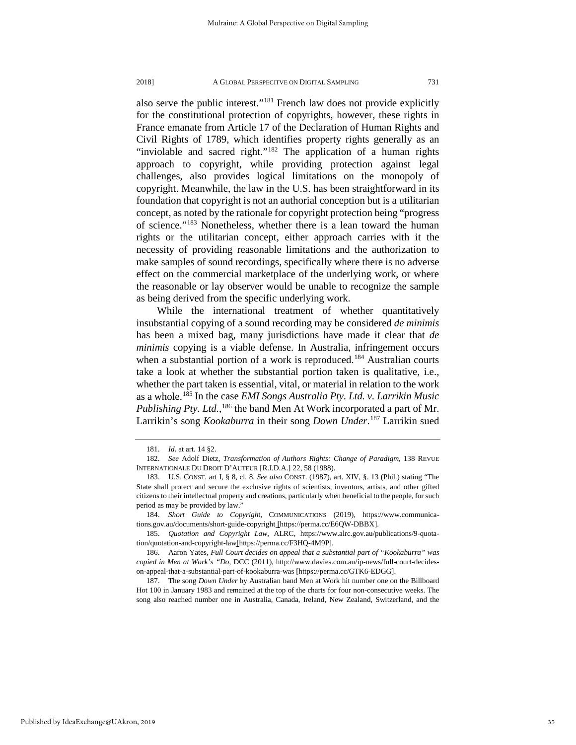also serve the public interest."[181](#page-35-0) French law does not provide explicitly for the constitutional protection of copyrights, however, these rights in France emanate from Article 17 of the Declaration of Human Rights and Civil Rights of 1789, which identifies property rights generally as an "inviolable and sacred right."<sup>[182](#page-35-1)</sup> The application of a human rights approach to copyright, while providing protection against legal challenges, also provides logical limitations on the monopoly of copyright. Meanwhile, the law in the U.S. has been straightforward in its foundation that copyright is not an authorial conception but is a utilitarian concept, as noted by the rationale for copyright protection being "progress of science."[183](#page-35-2) Nonetheless, whether there is a lean toward the human rights or the utilitarian concept, either approach carries with it the necessity of providing reasonable limitations and the authorization to make samples of sound recordings, specifically where there is no adverse effect on the commercial marketplace of the underlying work, or where the reasonable or lay observer would be unable to recognize the sample as being derived from the specific underlying work.

While the international treatment of whether quantitatively insubstantial copying of a sound recording may be considered *de minimis* has been a mixed bag, many jurisdictions have made it clear that *de minimis* copying is a viable defense. In Australia, infringement occurs when a substantial portion of a work is reproduced.<sup>[184](#page-35-3)</sup> Australian courts take a look at whether the substantial portion taken is qualitative, i.e., whether the part taken is essential, vital, or material in relation to the work as a whole.[185](#page-35-4) In the case *EMI Songs Australia Pty. Ltd. v. Larrikin Music*  Publishing Pty. Ltd.,<sup>[186](#page-35-5)</sup> the band Men At Work incorporated a part of Mr. Larrikin's song *Kookaburra* in their song *Down Under*. [187](#page-35-6) Larrikin sued

<sup>181.</sup> *Id.* at art. 14 §2.

<span id="page-35-1"></span><span id="page-35-0"></span><sup>182.</sup> *See* Adolf Dietz, *Transformation of Authors Rights: Change of Paradigm,* 138 REVUE INTERNATIONALE DU DROIT D'AUTEUR [R.I.D.A.] 22, 58 (1988).

<span id="page-35-2"></span><sup>183.</sup> U.S. CONST. art I, § 8, cl. 8. *See also* CONST. (1987), art. XIV, §. 13 (Phil.) stating "The State shall protect and secure the exclusive rights of scientists, inventors, artists, and other gifted citizens to their intellectual property and creations, particularly when beneficial to the people, for such period as may be provided by law.'

<span id="page-35-3"></span><sup>184.</sup> *Short Guide to Copyrigh*t, COMMUNICATIONS (2019), https://www.communications.gov.au/documents/short-guide-copyright [https://perma.cc/E6QW-DBBX].

<span id="page-35-4"></span><sup>185.</sup> *Quotation and Copyright Law*, ALRC, https://www.alrc.gov.au/publications/9-quotation/quotation-and-copyright-law[https://perma.cc/F3HQ-4M9P].

<span id="page-35-5"></span><sup>186.</sup> Aaron Yates*, Full Court decides on appeal that a substantial part of "Kookaburra" was copied in Men at Work's "Do*, DCC (2011), http://www.davies.com.au/ip-news/full-court-decideson-appeal-that-a-substantial-part-of-kookaburra-was [https://perma.cc/GTK6-EDGG].

<span id="page-35-6"></span><sup>187.</sup> The song *Down Under* by Australian band Men at Work hit number one on the Billboard Hot 100 in January 1983 and remained at the top of the charts for four non-consecutive weeks. The song also reached number one in Australia, Canada, Ireland, New Zealand, Switzerland, and the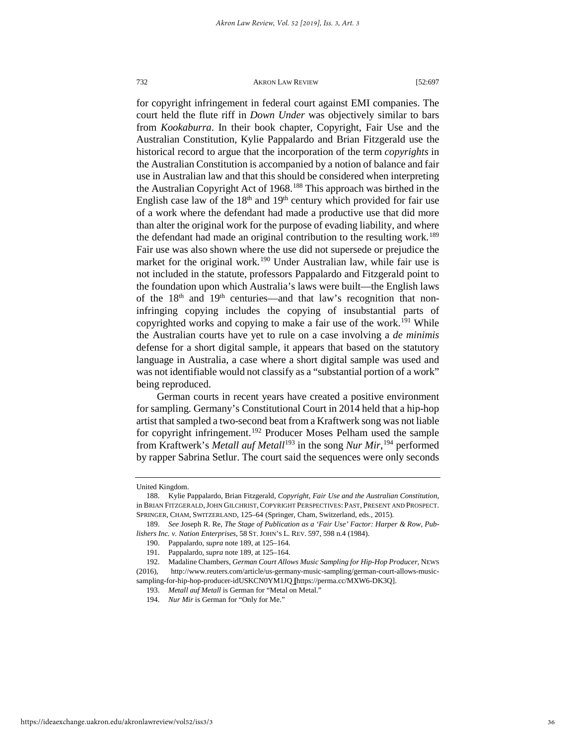for copyright infringement in federal court against EMI companies. The court held the flute riff in *Down Under* was objectively similar to bars from *Kookaburra*. In their book chapter, Copyright, Fair Use and the Australian Constitution, Kylie Pappalardo and Brian Fitzgerald use the historical record to argue that the incorporation of the term *copyrights* in the Australian Constitution is accompanied by a notion of balance and fair use in Australian law and that this should be considered when interpreting the Australian Copyright Act of 1968.[188](#page-36-0) This approach was birthed in the English case law of the  $18<sup>th</sup>$  and  $19<sup>th</sup>$  century which provided for fair use of a work where the defendant had made a productive use that did more than alter the original work for the purpose of evading liability, and where the defendant had made an original contribution to the resulting work.<sup>[189](#page-36-1)</sup> Fair use was also shown where the use did not supersede or prejudice the market for the original work.<sup>[190](#page-36-2)</sup> Under Australian law, while fair use is not included in the statute, professors Pappalardo and Fitzgerald point to the foundation upon which Australia's laws were built—the English laws of the  $18<sup>th</sup>$  and  $19<sup>th</sup>$  centuries—and that law's recognition that noninfringing copying includes the copying of insubstantial parts of copyrighted works and copying to make a fair use of the work.<sup>191</sup> While the Australian courts have yet to rule on a case involving a *de minimis* defense for a short digital sample, it appears that based on the statutory language in Australia, a case where a short digital sample was used and was not identifiable would not classify as a "substantial portion of a work" being reproduced.

German courts in recent years have created a positive environment for sampling. Germany's Constitutional Court in 2014 held that a hip-hop artist that sampled a two-second beat from a Kraftwerk song was not liable for copyright infringement.<sup>[192](#page-36-4)</sup> Producer Moses Pelham used the sample from Kraftwerk's *Metall auf Metall*[193](#page-36-5) in the song *Nur Mir*, [194](#page-36-6) performed by rapper Sabrina Setlur. The court said the sequences were only seconds

United Kingdom.

<span id="page-36-0"></span><sup>188.</sup> Kylie Pappalardo, Brian Fitzgerald, *Copyright, Fair Use and the Australian Constitution*, in BRIAN FITZGERALD,JOHN GILCHRIST, COPYRIGHT PERSPECTIVES: PAST, PRESENT AND PROSPECT. SPRINGER, CHAM, SWITZERLAND, 125–64 (Springer, Cham, Switzerland, eds., 2015).

<span id="page-36-1"></span><sup>189.</sup> *See* Joseph R. Re, *The Stage of Publication as a 'Fair Use' Factor: Harper & Row, Publishers Inc. v. Nation Enterprises*, 58 ST. JOHN'S L. REV. 597, 598 n.4 (1984).

<sup>190.</sup> Pappalardo, *supra* note 189, at 125–164.

<sup>191.</sup> Pappalardo, *supra* note 189, at 125–164.

<span id="page-36-6"></span><span id="page-36-5"></span><span id="page-36-4"></span><span id="page-36-3"></span><span id="page-36-2"></span><sup>192.</sup> Madaline Chambers, *German Court Allows Music Sampling for Hip-Hop Producer*, NEWS (2016), http://www.reuters.com/article/us-germany-music-sampling/german-court-allows-musicsampling-for-hip-hop-producer-idUSKCN0YM1JQ **[**https://perma.cc/MXW6-DK3Q].

<sup>193.</sup> *Metall auf Metall* is German for "Metal on Metal."

<sup>194.</sup> *Nur Mir* is German for "Only for Me."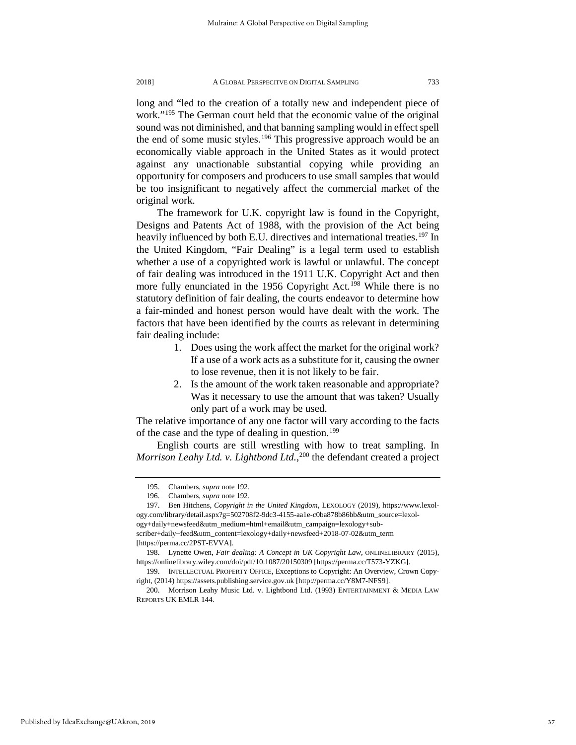long and "led to the creation of a totally new and independent piece of work."[195](#page-37-0) The German court held that the economic value of the original sound was not diminished, and that banning sampling would in effect spell the end of some music styles.<sup>[196](#page-37-1)</sup> This progressive approach would be an economically viable approach in the United States as it would protect against any unactionable substantial copying while providing an opportunity for composers and producers to use small samples that would be too insignificant to negatively affect the commercial market of the original work.

The framework for U.K. copyright law is found in the Copyright, Designs and Patents Act of 1988, with the provision of the Act being heavily influenced by both E.U. directives and international treaties.<sup>[197](#page-37-2)</sup> In the United Kingdom, "Fair Dealing" is a legal term used to establish whether a use of a copyrighted work is lawful or unlawful. The concept of fair dealing was introduced in the 1911 U.K. Copyright Act and then more fully enunciated in the 1956 Copyright Act.<sup>[198](#page-37-3)</sup> While there is no statutory definition of fair dealing, the courts endeavor to determine how a fair-minded and honest person would have dealt with the work. The factors that have been identified by the courts as relevant in determining fair dealing include:

- 1. Does using the work affect the market for the original work? If a use of a work acts as a substitute for it, causing the owner to lose revenue, then it is not likely to be fair.
- 2. Is the amount of the work taken reasonable and appropriate? Was it necessary to use the amount that was taken? Usually only part of a work may be used.

The relative importance of any one factor will vary according to the facts of the case and the type of dealing in question.<sup>[199](#page-37-4)</sup>

English courts are still wrestling with how to treat sampling. In *Morrison Leahy Ltd. v. Lightbond Ltd.*, [200](#page-37-5) the defendant created a project

<span id="page-37-5"></span>Published by IdeaExchange@UAkron, 2019

<sup>195.</sup> Chambers, *supra* note 192.

<sup>196.</sup> Chambers, *supra* note 192.

<span id="page-37-2"></span><span id="page-37-1"></span><span id="page-37-0"></span><sup>197.</sup> Ben Hitchens, *Copyright in the United Kingdom*, LEXOLOGY (2019), https://www.lexology.com/library/detail.aspx?g=502708f2-9dc3-4155-aa1e-c0ba878b86bb&utm\_source=lexology+daily+newsfeed&utm\_medium=html+email&utm\_campaign=lexology+subscriber+daily+feed&utm\_content=lexology+daily+newsfeed+2018-07-02&utm\_term

<sup>[</sup>https://perma.cc/2PST-EVVA].

<span id="page-37-3"></span><sup>198.</sup> Lynette Owen, *Fair dealing: A Concept in UK Copyright Law*, ONLINELIBRARY (2015), https://onlinelibrary.wiley.com/doi/pdf/10.1087/20150309 [https://perma.cc/T573-YZKG].

<span id="page-37-4"></span><sup>199.</sup> INTELLECTUAL PROPERTY OFFICE, Exceptions to Copyright: An Overview, Crown Copyright, (2014[\) https://assets.publishing.service.gov.uk](https://assets.publishing.service.gov.uk/) [http://perma.cc/Y8M7-NFS9].

<sup>200.</sup> Morrison Leahy Music Ltd. v. Lightbond Ltd. (1993) ENTERTAINMENT & MEDIA LAW REPORTS UK EMLR 144.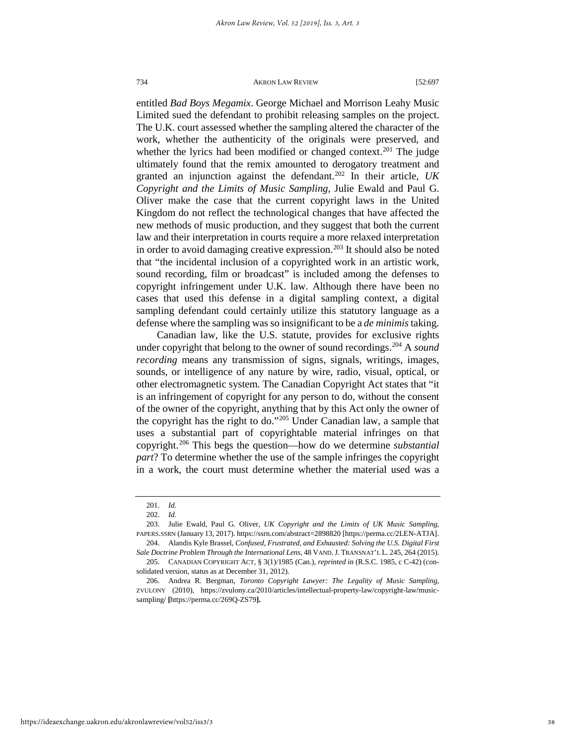entitled *Bad Boys Megamix*. George Michael and Morrison Leahy Music Limited sued the defendant to prohibit releasing samples on the project. The U.K. court assessed whether the sampling altered the character of the work, whether the authenticity of the originals were preserved, and whether the lyrics had been modified or changed context.<sup>[201](#page-38-0)</sup> The judge ultimately found that the remix amounted to derogatory treatment and granted an injunction against the defendant.[202](#page-38-1) In their article, *UK Copyright and the Limits of Music Sampling*, Julie Ewald and Paul G. Oliver make the case that the current copyright laws in the United Kingdom do not reflect the technological changes that have affected the new methods of music production, and they suggest that both the current law and their interpretation in courts require a more relaxed interpretation in order to avoid damaging creative expression.<sup>203</sup> It should also be noted that "the incidental inclusion of a copyrighted work in an artistic work, sound recording, film or broadcast" is included among the defenses to copyright infringement under U.K. law. Although there have been no cases that used this defense in a digital sampling context, a digital sampling defendant could certainly utilize this statutory language as a defense where the sampling was so insignificant to be a *de minimis* taking.

Canadian law, like the U.S. statute, provides for exclusive rights under copyright that belong to the owner of sound recordings.<sup>[204](#page-38-3)</sup> A *sound recording* means any transmission of signs, signals, writings, images, sounds, or intelligence of any nature by wire, radio, visual, optical, or other electromagnetic system. The Canadian Copyright Act states that "it is an infringement of copyright for any person to do, without the consent of the owner of the copyright, anything that by this Act only the owner of the copyright has the right to do."[205](#page-38-4) Under Canadian law, a sample that uses a substantial part of copyrightable material infringes on that copyright.[206](#page-38-5) This begs the question—how do we determine *substantial part*? To determine whether the use of the sample infringes the copyright in a work, the court must determine whether the material used was a

<sup>201.</sup> *Id.*

<sup>202.</sup> *Id.*

<span id="page-38-2"></span><span id="page-38-1"></span><span id="page-38-0"></span><sup>203.</sup> Julie Ewald, Paul G. Oliver, *UK Copyright and the Limits of UK Music Sampling*, PAPERS.SSRN (January 13, 2017)[. https://ssrn.com/abstract=2898820 \[](https://ssrn.com/abstract=2898820)https://perma.cc/2LEN-ATJA].

<span id="page-38-3"></span><sup>204.</sup> Alandis Kyle Brassel, *Confused, Frustrated, and Exhausted: Solving the U.S. Digital First Sale Doctrine Problem Through the International Lens*, 48 VAND.J. TRANSNAT'L L. 245, 264 (2015). 205. CANADIAN COPYRIGHT ACT, § 3(1)/1985 (Can.), *reprinted* in (R.S.C. 1985, c C-42) (con-

<span id="page-38-4"></span>solidated version, status as at December 31, 2012).

<span id="page-38-5"></span><sup>206.</sup> Andrea R. Bergman, *Toronto Copyright Lawyer: The Legality of Music Sampling,* ZVULONY (2010), https://zvulony.ca/2010/articles/intellectual-property-law/copyright-law/musicsampling/ **[**https://perma.cc/269Q-ZS79**].**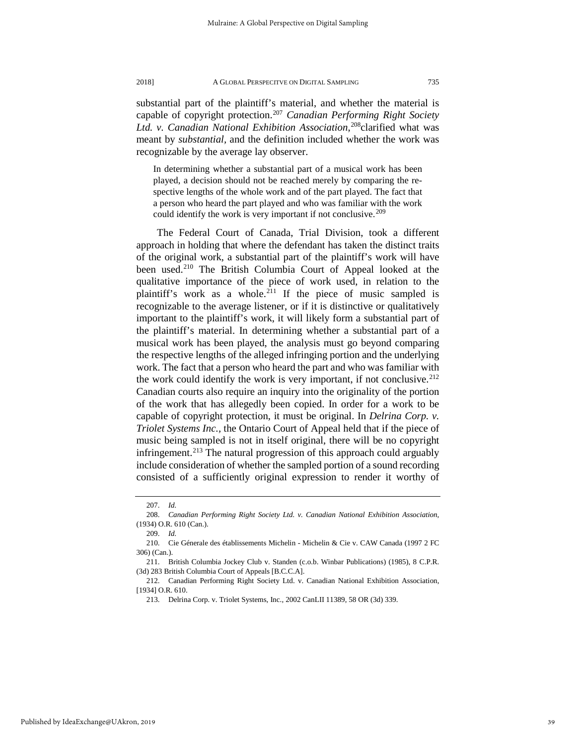substantial part of the plaintiff's material, and whether the material is capable of copyright protection.[207](#page-39-0) *Canadian Performing Right Society Ltd. v. Canadian National Exhibition Association*, [208c](#page-39-1)larified what was meant by *substantial,* and the definition included whether the work was recognizable by the average lay observer.

In determining whether a substantial part of a musical work has been played, a decision should not be reached merely by comparing the respective lengths of the whole work and of the part played. The fact that a person who heard the part played and who was familiar with the work could identify the work is very important if not conclusive.<sup>[209](#page-39-2)</sup>

The Federal Court of Canada, Trial Division, took a different approach in holding that where the defendant has taken the distinct traits of the original work, a substantial part of the plaintiff's work will have been used.[210](#page-39-3) The British Columbia Court of Appeal looked at the qualitative importance of the piece of work used, in relation to the plaintiff's work as a whole.<sup>211</sup> If the piece of music sampled is recognizable to the average listener, or if it is distinctive or qualitatively important to the plaintiff's work, it will likely form a substantial part of the plaintiff's material. In determining whether a substantial part of a musical work has been played, the analysis must go beyond comparing the respective lengths of the alleged infringing portion and the underlying work. The fact that a person who heard the part and who was familiar with the work could identify the work is very important, if not conclusive.<sup>[212](#page-39-5)</sup> Canadian courts also require an inquiry into the originality of the portion of the work that has allegedly been copied. In order for a work to be capable of copyright protection, it must be original. In *Delrina Corp. v. Triolet Systems Inc.,* the Ontario Court of Appeal held that if the piece of music being sampled is not in itself original, there will be no copyright infringement.<sup>[213](#page-39-6)</sup> The natural progression of this approach could arguably include consideration of whether the sampled portion of a sound recording consisted of a sufficiently original expression to render it worthy of

<sup>207.</sup> *Id.*

<span id="page-39-1"></span><span id="page-39-0"></span><sup>208.</sup> *Canadian Performing Right Society Ltd. v. Canadian National Exhibition Association*, (1934) O.R. 610 (Can.).

<sup>209.</sup> *Id.*

<span id="page-39-3"></span><span id="page-39-2"></span><sup>210.</sup> Cie Génerale des établissements Michelin - Michelin & Cie v. CAW Canada (1997 2 FC 306) (Can.).

<span id="page-39-4"></span><sup>211.</sup> British Columbia Jockey Club v. Standen (c.o.b. Winbar Publications) (1985), 8 C.P.R. (3d) 283 British Columbia Court of Appeals [B.C.C.A].

<span id="page-39-6"></span><span id="page-39-5"></span><sup>212.</sup> Canadian Performing Right Society Ltd. v. Canadian National Exhibition Association, [1934] O.R. 610.

<sup>213.</sup> Delrina Corp. v. Triolet Systems, Inc., 2002 CanLII 11389, 58 OR (3d) 339.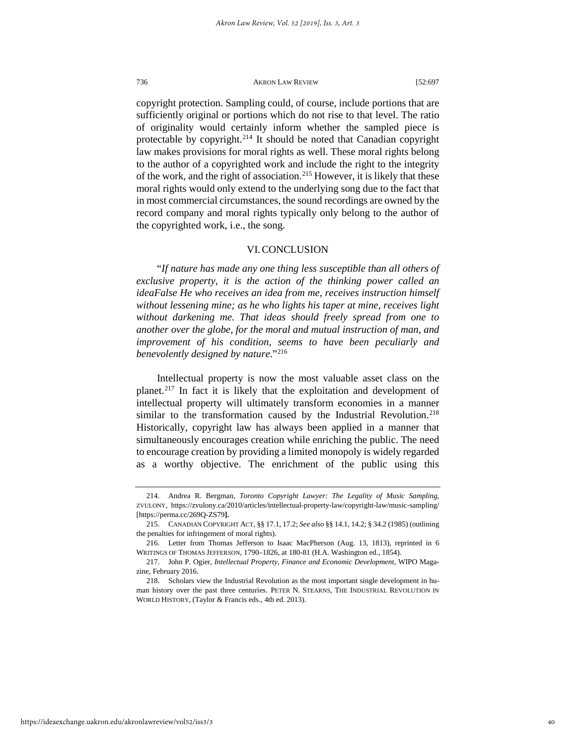copyright protection. Sampling could, of course, include portions that are sufficiently original or portions which do not rise to that level. The ratio of originality would certainly inform whether the sampled piece is protectable by copyright.<sup>[214](#page-40-0)</sup> It should be noted that Canadian copyright law makes provisions for moral rights as well. These moral rights belong to the author of a copyrighted work and include the right to the integrity of the work, and the right of association.<sup>[215](#page-40-1)</sup> However, it is likely that these moral rights would only extend to the underlying song due to the fact that in most commercial circumstances, the sound recordings are owned by the record company and moral rights typically only belong to the author of the copyrighted work, i.e., the song.

#### VI. CONCLUSION

"*If nature has made any one thing less susceptible than all others of exclusive property, it is the action of the thinking power called an ideaFalse He who receives an idea from me, receives instruction himself without lessening mine; as he who lights his taper at mine, receives light without darkening me. That ideas should freely spread from one to another over the globe, for the moral and mutual instruction of man, and improvement of his condition, seems to have been peculiarly and benevolently designed by nature*."[216](#page-40-2)

Intellectual property is now the most valuable asset class on the planet.[217](#page-40-3) In fact it is likely that the exploitation and development of intellectual property will ultimately transform economies in a manner similar to the transformation caused by the Industrial Revolution.<sup>218</sup> Historically, copyright law has always been applied in a manner that simultaneously encourages creation while enriching the public. The need to encourage creation by providing a limited monopoly is widely regarded as a worthy objective. The enrichment of the public using this

<span id="page-40-0"></span><sup>214.</sup> Andrea R. Bergman, *Toronto Copyright Lawyer: The Legality of Music Sampling,* ZVULONY, https://zvulony.ca/2010/articles/intellectual-property-law/copyright-law/music-sampling/ [https://perma.cc/269Q-ZS79**].**

<span id="page-40-1"></span><sup>215.</sup> CANADIAN COPYRIGHT ACT, §§ 17.1, 17.2; *See also* §§ 14.1, 14.2; § 34.2 (1985) (outlining the penalties for infringement of moral rights).

<span id="page-40-2"></span><sup>216.</sup> Letter from Thomas Jefferson to Isaac MacPherson (Aug. 13, 1813), reprinted in 6 WRITINGS OF THOMAS JEFFERSON, 1790–1826, at 180-81 (H.A. Washington ed., 1854).

<span id="page-40-3"></span><sup>217.</sup> John P. Ogier, *Intellectual Property, Finance and Economic Development*, WIPO Magazine, February 2016.

<span id="page-40-4"></span><sup>218.</sup> Scholars view the Industrial Revolution as the most important single development in human history over the past three centuries. PETER N. STEARNS, THE INDUSTRIAL REVOLUTION IN WORLD HISTORY, (Taylor & Francis eds., 4th ed. 2013).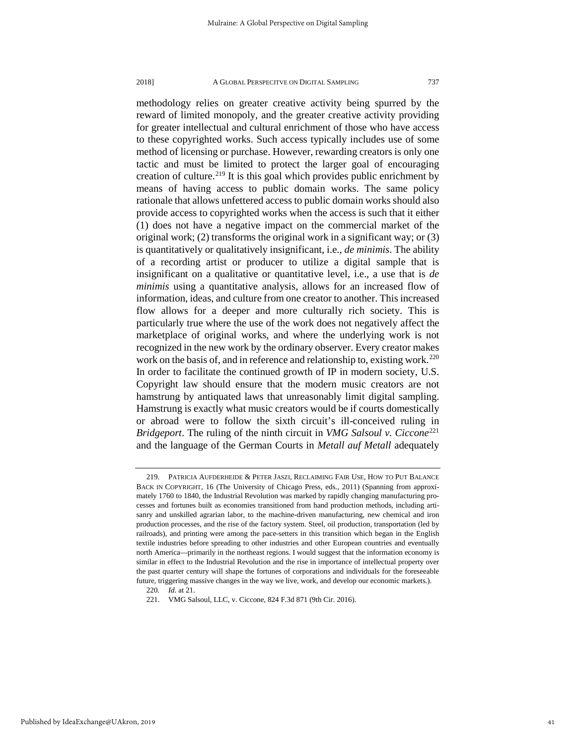methodology relies on greater creative activity being spurred by the reward of limited monopoly, and the greater creative activity providing for greater intellectual and cultural enrichment of those who have access to these copyrighted works. Such access typically includes use of some method of licensing or purchase. However, rewarding creators is only one tactic and must be limited to protect the larger goal of encouraging creation of culture.<sup>[219](#page-41-0)</sup> It is this goal which provides public enrichment by means of having access to public domain works. The same policy rationale that allows unfettered access to public domain works should also provide access to copyrighted works when the access is such that it either (1) does not have a negative impact on the commercial market of the original work; (2) transforms the original work in a significant way; or (3) is quantitatively or qualitatively insignificant, i.e., *de minimis*. The ability of a recording artist or producer to utilize a digital sample that is insignificant on a qualitative or quantitative level, i.e., a use that is *de minimis* using a quantitative analysis, allows for an increased flow of information, ideas, and culture from one creator to another. This increased flow allows for a deeper and more culturally rich society. This is particularly true where the use of the work does not negatively affect the marketplace of original works, and where the underlying work is not recognized in the new work by the ordinary observer. Every creator makes work on the basis of, and in reference and relationship to, existing work.<sup>220</sup> In order to facilitate the continued growth of IP in modern society, U.S. Copyright law should ensure that the modern music creators are not hamstrung by antiquated laws that unreasonably limit digital sampling. Hamstrung is exactly what music creators would be if courts domestically or abroad were to follow the sixth circuit's ill-conceived ruling in *Bridgeport*. The ruling of the ninth circuit in *VMG Salsoul v. Ciccone*<sup>[221](#page-41-2)</sup> and the language of the German Courts in *Metall auf Metall* adequately

<span id="page-41-0"></span><sup>219.</sup> PATRICIA AUFDERHEIDE & PETER JASZI, RECLAIMING FAIR USE, HOW TO PUT BALANCE BACK IN COPYRIGHT, 16 (The University of Chicago Press, eds., 2011) (Spanning from approximately 1760 to 1840, the Industrial Revolution was marked by rapidly changing manufacturing processes and fortunes built as economies transitioned from hand production methods, including artisanry and unskilled agrarian labor, to the machine-driven manufacturing, new chemical and iron production processes, and the rise of the factory system. Steel, oil production, transportation (led by railroads), and printing were among the pace-setters in this transition which began in the English textile industries before spreading to other industries and other European countries and eventually north America—primarily in the northeast regions. I would suggest that the information economy is similar in effect to the Industrial Revolution and the rise in importance of intellectual property over the past quarter century will shape the fortunes of corporations and individuals for the foreseeable future, triggering massive changes in the way we live, work, and develop our economic markets.).

<sup>220</sup>*. Id.* at 21.

<span id="page-41-2"></span><span id="page-41-1"></span><sup>221.</sup> VMG Salsoul, LLC, v. Ciccone, 824 F.3d 871 (9th Cir. 2016).